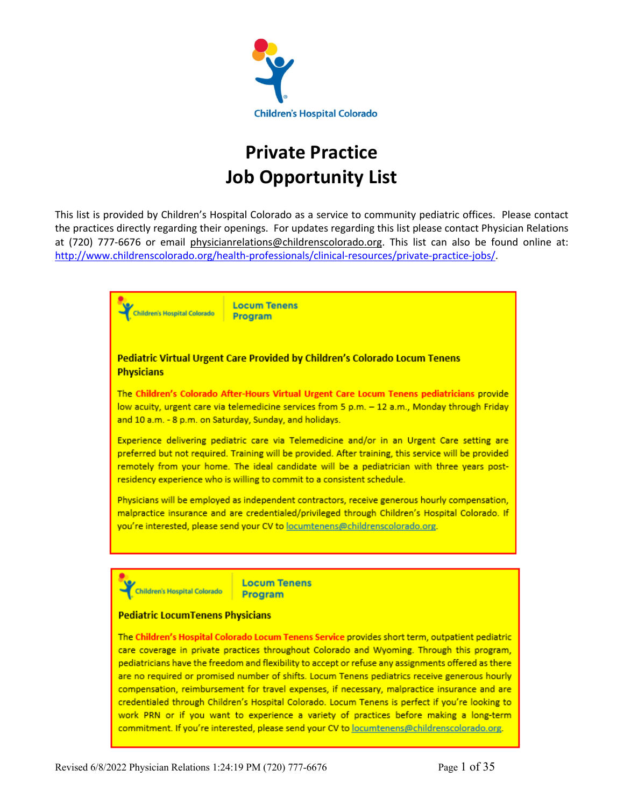

# **Private Practice Job Opportunity List**

This list is provided by Children's Hospital Colorado as a service to community pediatric offices. Please contact the practices directly regarding their openings. For updates regarding this list please contact Physician Relations at (720) 777-6676 or email physicianrelations@childrenscolorado.org. This list can also be found online at: http://www.childrenscolorado.org/health-professionals/clinical-resources/private-practice-jobs/.

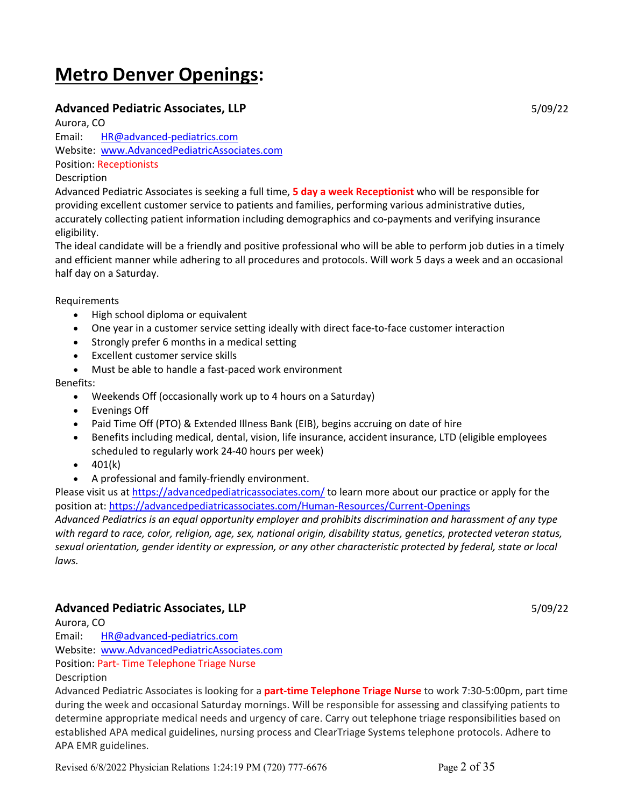# **Metro Denver Openings:**

# **Advanced Pediatric Associates, LLP** 5/09/22

Aurora, CO Email: HR@advanced-pediatrics.com Website: www.AdvancedPediatricAssociates.com Position: Receptionists

# Description

Advanced Pediatric Associates is seeking a full time, **5 day a week Receptionist** who will be responsible for providing excellent customer service to patients and families, performing various administrative duties, accurately collecting patient information including demographics and co-payments and verifying insurance eligibility.

The ideal candidate will be a friendly and positive professional who will be able to perform job duties in a timely and efficient manner while adhering to all procedures and protocols. Will work 5 days a week and an occasional half day on a Saturday.

Requirements

- High school diploma or equivalent
- One year in a customer service setting ideally with direct face-to-face customer interaction
- Strongly prefer 6 months in a medical setting
- Excellent customer service skills
- Must be able to handle a fast-paced work environment

Benefits:

- Weekends Off (occasionally work up to 4 hours on a Saturday)
- Evenings Off
- Paid Time Off (PTO) & Extended Illness Bank (EIB), begins accruing on date of hire
- Benefits including medical, dental, vision, life insurance, accident insurance, LTD (eligible employees scheduled to regularly work 24-40 hours per week)
- $401(k)$
- A professional and family-friendly environment.

Please visit us at https://advancedpediatricassociates.com/ to learn more about our practice or apply for the position at: https://advancedpediatricassociates.com/Human-Resources/Current-Openings

*Advanced Pediatrics is an equal opportunity employer and prohibits discrimination and harassment of any type with regard to race, color, religion, age, sex, national origin, disability status, genetics, protected veteran status, sexual orientation, gender identity or expression, or any other characteristic protected by federal, state or local laws.*

# **Advanced Pediatric Associates, LLP** 5/09/22

Aurora, CO

Email: HR@advanced-pediatrics.com Website: www.AdvancedPediatricAssociates.com Position: Part- Time Telephone Triage Nurse Description

Advanced Pediatric Associates is looking for a **part-time Telephone Triage Nurse** to work 7:30-5:00pm, part time during the week and occasional Saturday mornings. Will be responsible for assessing and classifying patients to determine appropriate medical needs and urgency of care. Carry out telephone triage responsibilities based on established APA medical guidelines, nursing process and ClearTriage Systems telephone protocols. Adhere to APA EMR guidelines.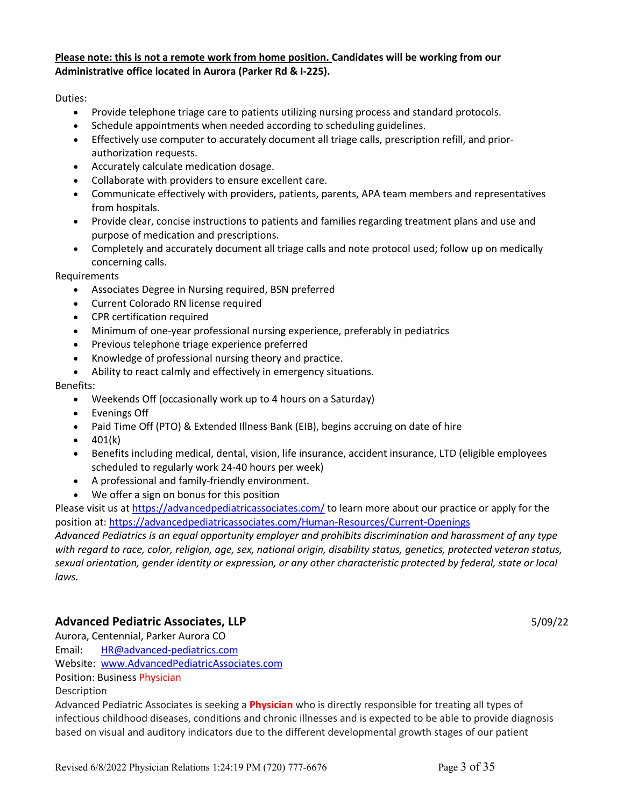# **Please note: this is not a remote work from home position. Candidates will be working from our Administrative office located in Aurora (Parker Rd & I-225).**

Duties:

- Provide telephone triage care to patients utilizing nursing process and standard protocols.
- Schedule appointments when needed according to scheduling guidelines.
- Effectively use computer to accurately document all triage calls, prescription refill, and priorauthorization requests.
- Accurately calculate medication dosage.
- Collaborate with providers to ensure excellent care.
- Communicate effectively with providers, patients, parents, APA team members and representatives from hospitals.
- Provide clear, concise instructions to patients and families regarding treatment plans and use and purpose of medication and prescriptions.
- Completely and accurately document all triage calls and note protocol used; follow up on medically concerning calls.

**Requirements** 

- Associates Degree in Nursing required, BSN preferred
- Current Colorado RN license required
- CPR certification required
- Minimum of one-year professional nursing experience, preferably in pediatrics
- Previous telephone triage experience preferred
- Knowledge of professional nursing theory and practice.
- Ability to react calmly and effectively in emergency situations.

Benefits:

- Weekends Off (occasionally work up to 4 hours on a Saturday)
- Evenings Off
- Paid Time Off (PTO) & Extended Illness Bank (EIB), begins accruing on date of hire
- $\bullet$  401(k)
- Benefits including medical, dental, vision, life insurance, accident insurance, LTD (eligible employees scheduled to regularly work 24-40 hours per week)
- A professional and family-friendly environment.
- We offer a sign on bonus for this position

Please visit us at https://advancedpediatricassociates.com/ to learn more about our practice or apply for the position at: https://advancedpediatricassociates.com/Human-Resources/Current-Openings

*Advanced Pediatrics is an equal opportunity employer and prohibits discrimination and harassment of any type with regard to race, color, religion, age, sex, national origin, disability status, genetics, protected veteran status, sexual orientation, gender identity or expression, or any other characteristic protected by federal, state or local laws.*

# **Advanced Pediatric Associates, LLP** 5/09/22

Aurora, Centennial, Parker Aurora CO Email: HR@advanced-pediatrics.com Website: www.AdvancedPediatricAssociates.com Position: Business Physician Description

Advanced Pediatric Associates is seeking a **Physician** who is directly responsible for treating all types of infectious childhood diseases, conditions and chronic illnesses and is expected to be able to provide diagnosis based on visual and auditory indicators due to the different developmental growth stages of our patient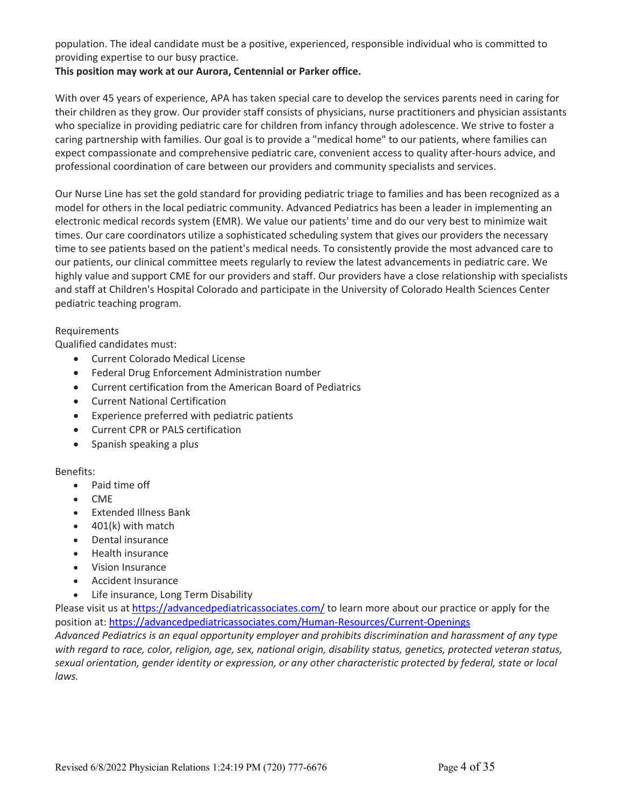population. The ideal candidate must be a positive, experienced, responsible individual who is committed to providing expertise to our busy practice.

# **This position may work at our Aurora, Centennial or Parker office.**

With over 45 years of experience, APA has taken special care to develop the services parents need in caring for their children as they grow. Our provider staff consists of physicians, nurse practitioners and physician assistants who specialize in providing pediatric care for children from infancy through adolescence. We strive to foster a caring partnership with families. Our goal is to provide a "medical home" to our patients, where families can expect compassionate and comprehensive pediatric care, convenient access to quality after-hours advice, and professional coordination of care between our providers and community specialists and services.

Our Nurse Line has set the gold standard for providing pediatric triage to families and has been recognized as a model for others in the local pediatric community. Advanced Pediatrics has been a leader in implementing an electronic medical records system (EMR). We value our patients' time and do our very best to minimize wait times. Our care coordinators utilize a sophisticated scheduling system that gives our providers the necessary time to see patients based on the patient's medical needs. To consistently provide the most advanced care to our patients, our clinical committee meets regularly to review the latest advancements in pediatric care. We highly value and support CME for our providers and staff. Our providers have a close relationship with specialists and staff at Children's Hospital Colorado and participate in the University of Colorado Health Sciences Center pediatric teaching program.

# Requirements

Qualified candidates must:

- Current Colorado Medical License
- Federal Drug Enforcement Administration number
- Current certification from the American Board of Pediatrics
- Current National Certification
- Experience preferred with pediatric patients
- Current CPR or PALS certification
- Spanish speaking a plus

# Benefits:

- Paid time off
- CME
- Extended Illness Bank
- 401(k) with match
- Dental insurance
- Health insurance
- Vision Insurance
- Accident Insurance
- Life insurance, Long Term Disability

Please visit us at https://advancedpediatricassociates.com/ to learn more about our practice or apply for the position at: https://advancedpediatricassociates.com/Human-Resources/Current-Openings

*Advanced Pediatrics is an equal opportunity employer and prohibits discrimination and harassment of any type with regard to race, color, religion, age, sex, national origin, disability status, genetics, protected veteran status, sexual orientation, gender identity or expression, or any other characteristic protected by federal, state or local laws.*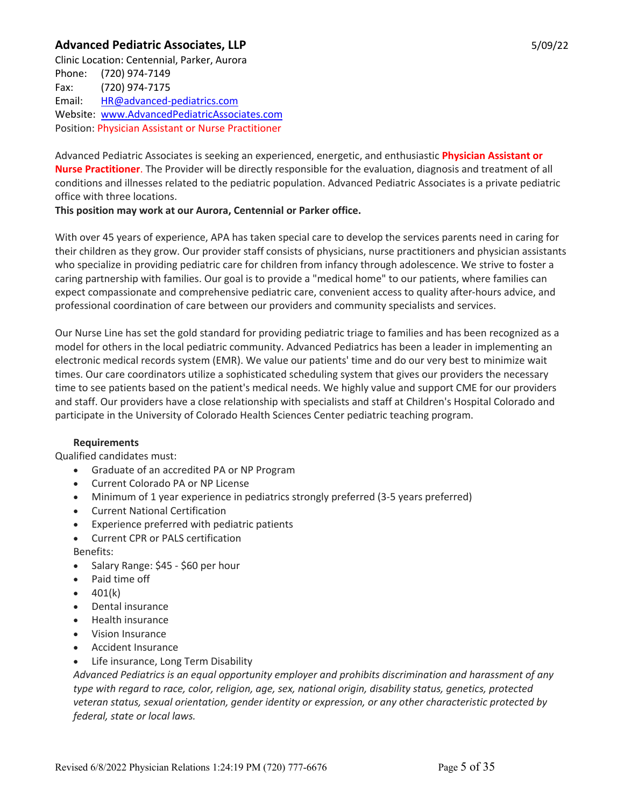# **Advanced Pediatric Associates, LLP** 5/09/22

Clinic Location: Centennial, Parker, Aurora Phone: (720) 974-7149 Fax: (720) 974-7175 Email: HR@advanced-pediatrics.com Website: www.AdvancedPediatricAssociates.com Position: Physician Assistant or Nurse Practitioner

Advanced Pediatric Associates is seeking an experienced, energetic, and enthusiastic **Physician Assistant or Nurse Practitioner**. The Provider will be directly responsible for the evaluation, diagnosis and treatment of all conditions and illnesses related to the pediatric population. Advanced Pediatric Associates is a private pediatric office with three locations.

# **This position may work at our Aurora, Centennial or Parker office.**

With over 45 years of experience, APA has taken special care to develop the services parents need in caring for their children as they grow. Our provider staff consists of physicians, nurse practitioners and physician assistants who specialize in providing pediatric care for children from infancy through adolescence. We strive to foster a caring partnership with families. Our goal is to provide a "medical home" to our patients, where families can expect compassionate and comprehensive pediatric care, convenient access to quality after-hours advice, and professional coordination of care between our providers and community specialists and services.

Our Nurse Line has set the gold standard for providing pediatric triage to families and has been recognized as a model for others in the local pediatric community. Advanced Pediatrics has been a leader in implementing an electronic medical records system (EMR). We value our patients' time and do our very best to minimize wait times. Our care coordinators utilize a sophisticated scheduling system that gives our providers the necessary time to see patients based on the patient's medical needs. We highly value and support CME for our providers and staff. Our providers have a close relationship with specialists and staff at Children's Hospital Colorado and participate in the University of Colorado Health Sciences Center pediatric teaching program.

# **Requirements**

Qualified candidates must:

- Graduate of an accredited PA or NP Program
- Current Colorado PA or NP License
- Minimum of 1 year experience in pediatrics strongly preferred (3-5 years preferred)
- Current National Certification
- Experience preferred with pediatric patients
- Current CPR or PALS certification

Benefits:

- Salary Range: \$45 \$60 per hour
- Paid time off
- $401(k)$
- Dental insurance
- Health insurance
- Vision Insurance
- Accident Insurance
- Life insurance, Long Term Disability

*Advanced Pediatrics is an equal opportunity employer and prohibits discrimination and harassment of any type with regard to race, color, religion, age, sex, national origin, disability status, genetics, protected veteran status, sexual orientation, gender identity or expression, or any other characteristic protected by federal, state or local laws.*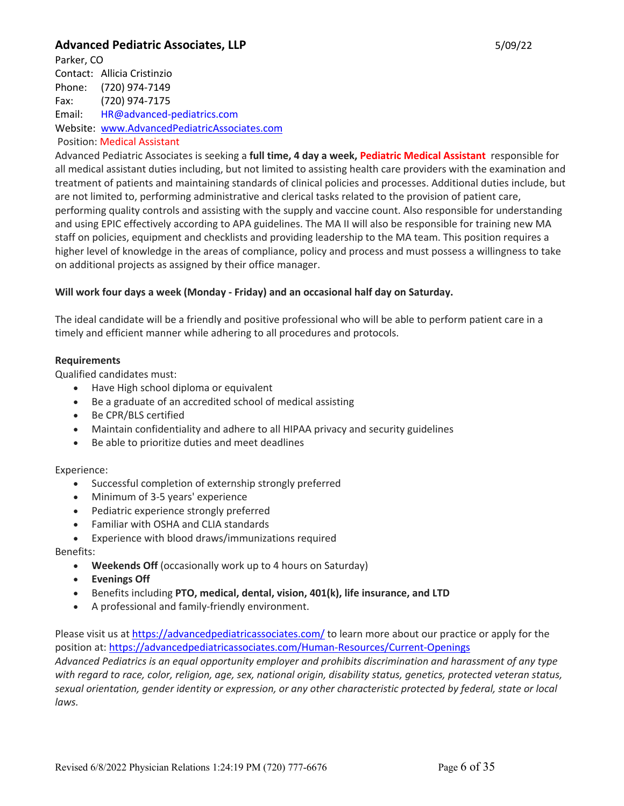# **Advanced Pediatric Associates, LLP** 5/09/22

Parker, CO Contact: Allicia Cristinzio Phone: (720) 974-7149 Fax: (720) 974-7175 Email: HR@advanced-pediatrics.com Website: www.AdvancedPediatricAssociates.com

Position: Medical Assistant

Advanced Pediatric Associates is seeking a **full time, 4 day a week, Pediatric Medical Assistant** responsible for all medical assistant duties including, but not limited to assisting health care providers with the examination and treatment of patients and maintaining standards of clinical policies and processes. Additional duties include, but are not limited to, performing administrative and clerical tasks related to the provision of patient care, performing quality controls and assisting with the supply and vaccine count. Also responsible for understanding and using EPIC effectively according to APA guidelines. The MA II will also be responsible for training new MA staff on policies, equipment and checklists and providing leadership to the MA team. This position requires a higher level of knowledge in the areas of compliance, policy and process and must possess a willingness to take on additional projects as assigned by their office manager.

# **Will work four days a week (Monday - Friday) and an occasional half day on Saturday.**

The ideal candidate will be a friendly and positive professional who will be able to perform patient care in a timely and efficient manner while adhering to all procedures and protocols.

# **Requirements**

Qualified candidates must:

- Have High school diploma or equivalent
- Be a graduate of an accredited school of medical assisting
- Be CPR/BLS certified
- Maintain confidentiality and adhere to all HIPAA privacy and security guidelines
- Be able to prioritize duties and meet deadlines

# Experience:

- Successful completion of externship strongly preferred
- Minimum of 3-5 years' experience
- Pediatric experience strongly preferred
- Familiar with OSHA and CLIA standards
- Experience with blood draws/immunizations required

# Benefits:

- **Weekends Off** (occasionally work up to 4 hours on Saturday)
- **Evenings Off**
- Benefits including **PTO, medical, dental, vision, 401(k), life insurance, and LTD**
- A professional and family-friendly environment.

Please visit us at https://advancedpediatricassociates.com/ to learn more about our practice or apply for the position at: https://advancedpediatricassociates.com/Human-Resources/Current-Openings

*Advanced Pediatrics is an equal opportunity employer and prohibits discrimination and harassment of any type with regard to race, color, religion, age, sex, national origin, disability status, genetics, protected veteran status, sexual orientation, gender identity or expression, or any other characteristic protected by federal, state or local laws.*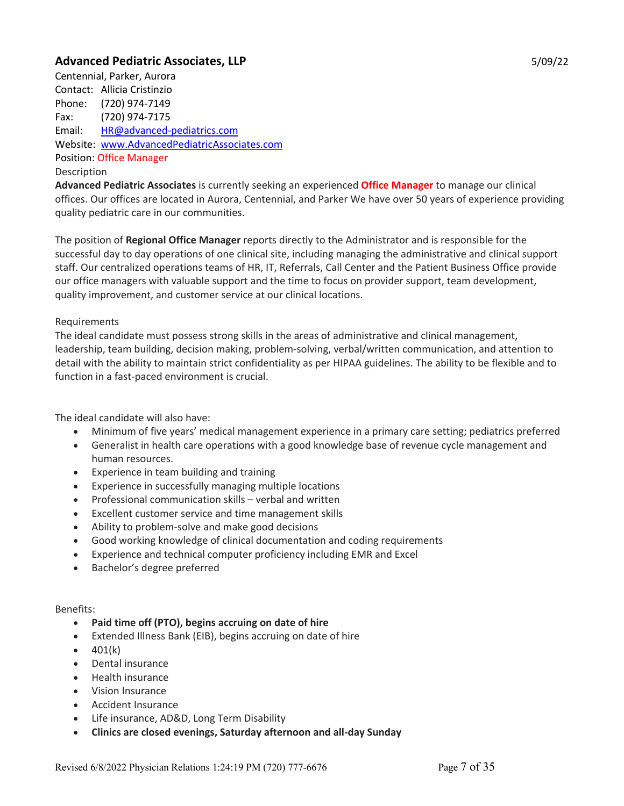# **Advanced Pediatric Associates, LLP** 5/09/22

Centennial, Parker, Aurora Contact: Allicia Cristinzio Phone: (720) 974-7149 Fax: (720) 974-7175 Email: HR@advanced-pediatrics.com Website: www.AdvancedPediatricAssociates.com Position: Office Manager Description

**Advanced Pediatric Associates** is currently seeking an experienced **Office Manager** to manage our clinical offices. Our offices are located in Aurora, Centennial, and Parker We have over 50 years of experience providing quality pediatric care in our communities.

The position of **Regional Office Manager** reports directly to the Administrator and is responsible for the successful day to day operations of one clinical site, including managing the administrative and clinical support staff. Our centralized operations teams of HR, IT, Referrals, Call Center and the Patient Business Office provide our office managers with valuable support and the time to focus on provider support, team development, quality improvement, and customer service at our clinical locations.

# Requirements

The ideal candidate must possess strong skills in the areas of administrative and clinical management, leadership, team building, decision making, problem-solving, verbal/written communication, and attention to detail with the ability to maintain strict confidentiality as per HIPAA guidelines. The ability to be flexible and to function in a fast-paced environment is crucial.

The ideal candidate will also have:

- Minimum of five years' medical management experience in a primary care setting; pediatrics preferred
- Generalist in health care operations with a good knowledge base of revenue cycle management and human resources.
- Experience in team building and training
- Experience in successfully managing multiple locations
- Professional communication skills verbal and written
- Excellent customer service and time management skills
- Ability to problem-solve and make good decisions
- Good working knowledge of clinical documentation and coding requirements
- Experience and technical computer proficiency including EMR and Excel
- Bachelor's degree preferred

#### Benefits:

- **Paid time off (PTO), begins accruing on date of hire**
- Extended Illness Bank (EIB), begins accruing on date of hire
- $401(k)$
- Dental insurance
- Health insurance
- Vision Insurance
- Accident Insurance
- Life insurance, AD&D, Long Term Disability
- **Clinics are closed evenings, Saturday afternoon and all-day Sunday**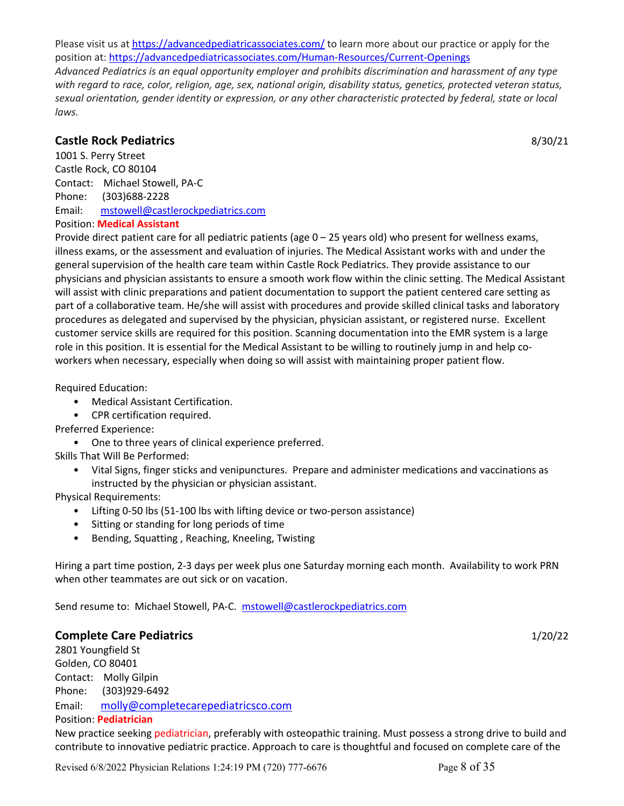Please visit us at https://advancedpediatricassociates.com/ to learn more about our practice or apply for the position at: https://advancedpediatricassociates.com/Human-Resources/Current-Openings

*Advanced Pediatrics is an equal opportunity employer and prohibits discrimination and harassment of any type with regard to race, color, religion, age, sex, national origin, disability status, genetics, protected veteran status, sexual orientation, gender identity or expression, or any other characteristic protected by federal, state or local laws.*

# **Castle Rock Pediatrics** 8/30/21

1001 S. Perry Street Castle Rock, CO 80104 Contact: Michael Stowell, PA-C Phone: (303)688-2228 Email: mstowell@castlerockpediatrics.com Position: **Medical Assistant**

Provide direct patient care for all pediatric patients (age 0 – 25 years old) who present for wellness exams, illness exams, or the assessment and evaluation of injuries. The Medical Assistant works with and under the general supervision of the health care team within Castle Rock Pediatrics. They provide assistance to our physicians and physician assistants to ensure a smooth work flow within the clinic setting. The Medical Assistant will assist with clinic preparations and patient documentation to support the patient centered care setting as part of a collaborative team. He/she will assist with procedures and provide skilled clinical tasks and laboratory procedures as delegated and supervised by the physician, physician assistant, or registered nurse. Excellent customer service skills are required for this position. Scanning documentation into the EMR system is a large role in this position. It is essential for the Medical Assistant to be willing to routinely jump in and help coworkers when necessary, especially when doing so will assist with maintaining proper patient flow.

Required Education:

- Medical Assistant Certification.
- CPR certification required.

Preferred Experience:

• One to three years of clinical experience preferred.

Skills That Will Be Performed:

• Vital Signs, finger sticks and venipunctures. Prepare and administer medications and vaccinations as instructed by the physician or physician assistant.

Physical Requirements:

- Lifting 0-50 lbs (51-100 lbs with lifting device or two-person assistance)
- Sitting or standing for long periods of time
- Bending, Squatting , Reaching, Kneeling, Twisting

Hiring a part time postion, 2-3 days per week plus one Saturday morning each month. Availability to work PRN when other teammates are out sick or on vacation.

Send resume to: Michael Stowell, PA-C. mstowell@castlerockpediatrics.com

# **Complete Care Pediatrics** 1/20/22

2801 Youngfield St Golden, CO 80401 Contact: Molly Gilpin Phone: (303)929-6492 Email: molly@completecarepediatricsco.com Position: **Pediatrician** 

New practice seeking pediatrician, preferably with osteopathic training. Must possess a strong drive to build and contribute to innovative pediatric practice. Approach to care is thoughtful and focused on complete care of the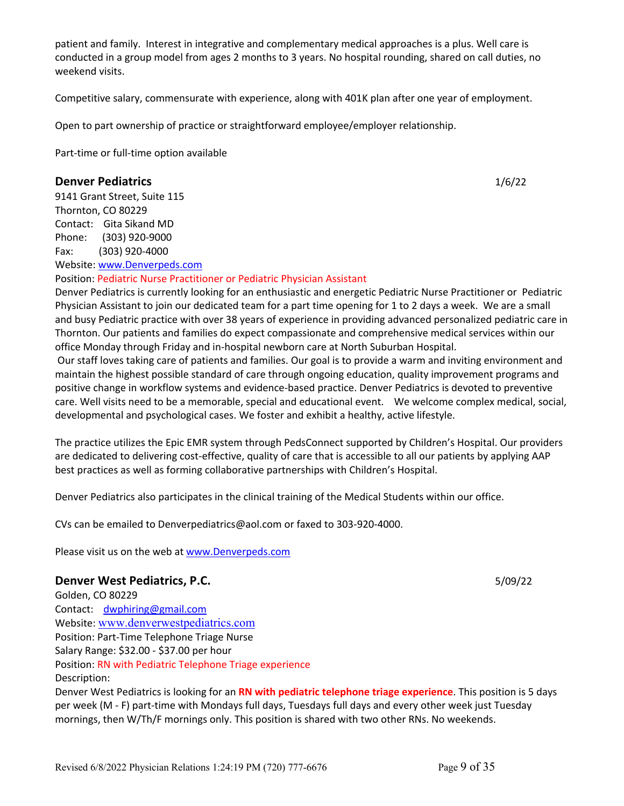Revised 6/8/2022 Physician Relations 1:24:19 PM (720) 777-6676 Page 9 of 35

patient and family. Interest in integrative and complementary medical approaches is a plus. Well care is conducted in a group model from ages 2 months to 3 years. No hospital rounding, shared on call duties, no weekend visits.

Competitive salary, commensurate with experience, along with 401K plan after one year of employment.

Open to part ownership of practice or straightforward employee/employer relationship.

Part-time or full-time option available

# **Denver Pediatrics** 1/6/22

9141 Grant Street, Suite 115 Thornton, CO 80229 Contact: Gita Sikand MD Phone: (303) 920-9000 Fax: (303) 920-4000 Website: www.Denverpeds.com

Position: Pediatric Nurse Practitioner or Pediatric Physician Assistant

Denver Pediatrics is currently looking for an enthusiastic and energetic Pediatric Nurse Practitioner or Pediatric Physician Assistant to join our dedicated team for a part time opening for 1 to 2 days a week. We are a small and busy Pediatric practice with over 38 years of experience in providing advanced personalized pediatric care in Thornton. Our patients and families do expect compassionate and comprehensive medical services within our office Monday through Friday and in-hospital newborn care at North Suburban Hospital.

Our staff loves taking care of patients and families. Our goal is to provide a warm and inviting environment and maintain the highest possible standard of care through ongoing education, quality improvement programs and positive change in workflow systems and evidence-based practice. Denver Pediatrics is devoted to preventive care. Well visits need to be a memorable, special and educational event. We welcome complex medical, social, developmental and psychological cases. We foster and exhibit a healthy, active lifestyle.

The practice utilizes the Epic EMR system through PedsConnect supported by Children's Hospital. Our providers are dedicated to delivering cost-effective, quality of care that is accessible to all our patients by applying AAP best practices as well as forming collaborative partnerships with Children's Hospital.

Denver Pediatrics also participates in the clinical training of the Medical Students within our office.

CVs can be emailed to Denverpediatrics@aol.com or faxed to 303-920-4000.

Please visit us on the web at www.Denverpeds.com

# **Denver West Pediatrics, P.C.** 5/09/22

Golden, CO 80229 Contact: dwphiring@gmail.com Website: www.denverwestpediatrics.com Position: Part-Time Telephone Triage Nurse Salary Range: \$32.00 - \$37.00 per hour Position: RN with Pediatric Telephone Triage experience Description: Denver West Pediatrics is looking for an **RN with pediatric telephone triage experience**. This position is 5 days per week (M - F) part-time with Mondays full days, Tuesdays full days and every other week just Tuesday mornings, then W/Th/F mornings only. This position is shared with two other RNs. No weekends.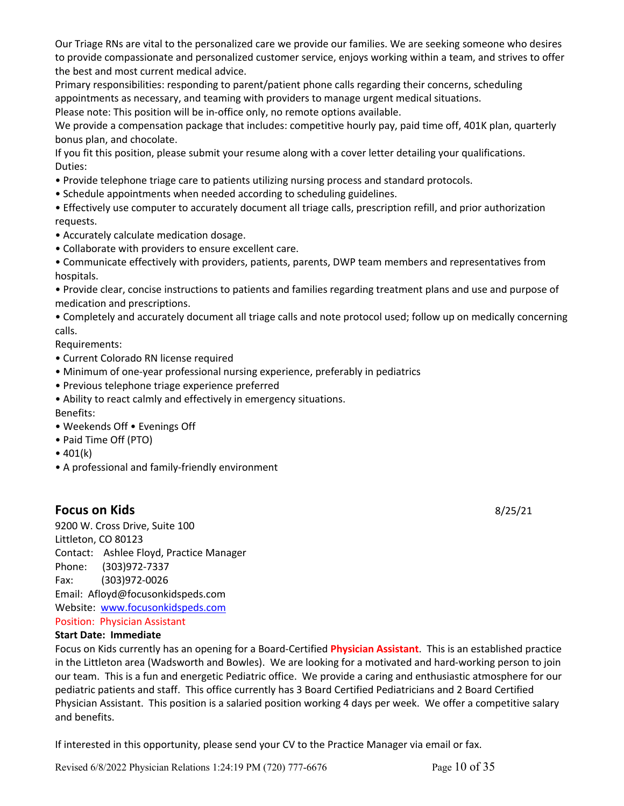Our Triage RNs are vital to the personalized care we provide our families. We are seeking someone who desires to provide compassionate and personalized customer service, enjoys working within a team, and strives to offer the best and most current medical advice.

Primary responsibilities: responding to parent/patient phone calls regarding their concerns, scheduling appointments as necessary, and teaming with providers to manage urgent medical situations.

Please note: This position will be in-office only, no remote options available.

We provide a compensation package that includes: competitive hourly pay, paid time off, 401K plan, quarterly bonus plan, and chocolate.

If you fit this position, please submit your resume along with a cover letter detailing your qualifications. Duties:

- Provide telephone triage care to patients utilizing nursing process and standard protocols.
- Schedule appointments when needed according to scheduling guidelines.

• Effectively use computer to accurately document all triage calls, prescription refill, and prior authorization requests.

- Accurately calculate medication dosage.
- Collaborate with providers to ensure excellent care.

• Communicate effectively with providers, patients, parents, DWP team members and representatives from hospitals.

• Provide clear, concise instructions to patients and families regarding treatment plans and use and purpose of medication and prescriptions.

• Completely and accurately document all triage calls and note protocol used; follow up on medically concerning calls.

Requirements:

- Current Colorado RN license required
- Minimum of one-year professional nursing experience, preferably in pediatrics
- Previous telephone triage experience preferred

• Ability to react calmly and effectively in emergency situations. Benefits:

- Weekends Off Evenings Off
- Paid Time Off (PTO)
- $401(k)$
- A professional and family-friendly environment

# **Focus on Kids** 8/25/21

9200 W. Cross Drive, Suite 100 Littleton, CO 80123 Contact: Ashlee Floyd, Practice Manager Phone: (303)972-7337 Fax: (303)972-0026 Email: Afloyd@focusonkidspeds.com Website: www.focusonkidspeds.com Position: Physician Assistant

# **Start Date: Immediate**

Focus on Kids currently has an opening for a Board-Certified **Physician Assistant**. This is an established practice in the Littleton area (Wadsworth and Bowles). We are looking for a motivated and hard-working person to join our team. This is a fun and energetic Pediatric office. We provide a caring and enthusiastic atmosphere for our pediatric patients and staff. This office currently has 3 Board Certified Pediatricians and 2 Board Certified Physician Assistant. This position is a salaried position working 4 days per week. We offer a competitive salary and benefits.

If interested in this opportunity, please send your CV to the Practice Manager via email or fax.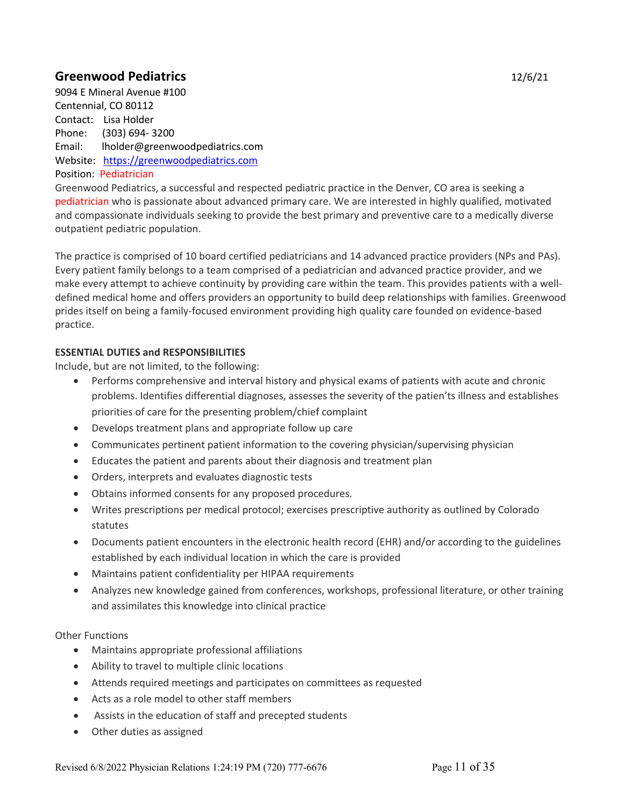# **Greenwood Pediatrics** 12/6/21

9094 E Mineral Avenue #100 Centennial, CO 80112 Contact: Lisa Holder Phone: (303) 694- 3200 Email: lholder@greenwoodpediatrics.com Website: https://greenwoodpediatrics.com Position: Pediatrician

Greenwood Pediatrics, a successful and respected pediatric practice in the Denver, CO area is seeking a pediatrician who is passionate about advanced primary care. We are interested in highly qualified, motivated and compassionate individuals seeking to provide the best primary and preventive care to a medically diverse outpatient pediatric population.

The practice is comprised of 10 board certified pediatricians and 14 advanced practice providers (NPs and PAs). Every patient family belongs to a team comprised of a pediatrician and advanced practice provider, and we make every attempt to achieve continuity by providing care within the team. This provides patients with a welldefined medical home and offers providers an opportunity to build deep relationships with families. Greenwood prides itself on being a family-focused environment providing high quality care founded on evidence-based practice.

# **ESSENTIAL DUTIES and RESPONSIBILITIES**

Include, but are not limited, to the following:

- Performs comprehensive and interval history and physical exams of patients with acute and chronic problems. Identifies differential diagnoses, assesses the severity of the patien'ts illness and establishes priorities of care for the presenting problem/chief complaint
- Develops treatment plans and appropriate follow up care
- Communicates pertinent patient information to the covering physician/supervising physician
- Educates the patient and parents about their diagnosis and treatment plan
- Orders, interprets and evaluates diagnostic tests
- Obtains informed consents for any proposed procedures.
- Writes prescriptions per medical protocol; exercises prescriptive authority as outlined by Colorado statutes
- Documents patient encounters in the electronic health record (EHR) and/or according to the guidelines established by each individual location in which the care is provided
- Maintains patient confidentiality per HIPAA requirements
- Analyzes new knowledge gained from conferences, workshops, professional literature, or other training and assimilates this knowledge into clinical practice

# Other Functions

- Maintains appropriate professional affiliations
- Ability to travel to multiple clinic locations
- Attends required meetings and participates on committees as requested
- Acts as a role model to other staff members
- Assists in the education of staff and precepted students
- Other duties as assigned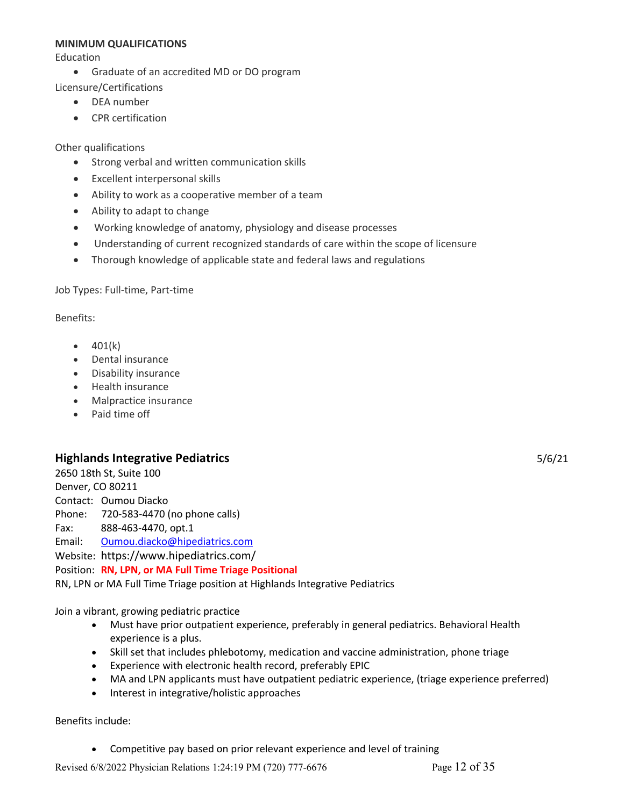#### **MINIMUM QUALIFICATIONS**

Education

• Graduate of an accredited MD or DO program

Licensure/Certifications

- DEA number
- CPR certification

Other qualifications

- Strong verbal and written communication skills
- Excellent interpersonal skills
- Ability to work as a cooperative member of a team
- Ability to adapt to change
- Working knowledge of anatomy, physiology and disease processes
- Understanding of current recognized standards of care within the scope of licensure
- Thorough knowledge of applicable state and federal laws and regulations

Job Types: Full-time, Part-time

Benefits:

- $401(k)$
- Dental insurance
- Disability insurance
- Health insurance
- Malpractice insurance
- Paid time off

# **Highlands Integrative Pediatrics** 5/6/21

2650 18th St, Suite 100 Denver, CO 80211 Contact: Oumou Diacko Phone: 720-583-4470 (no phone calls)

Fax: 888-463-4470, opt.1

Email: Oumou.diacko@hipediatrics.com

Website: https://www.hipediatrics.com/

# Position: **RN, LPN, or MA Full Time Triage Positional**

RN, LPN or MA Full Time Triage position at Highlands Integrative Pediatrics

Join a vibrant, growing pediatric practice

- Must have prior outpatient experience, preferably in general pediatrics. Behavioral Health experience is a plus.
- Skill set that includes phlebotomy, medication and vaccine administration, phone triage
- Experience with electronic health record, preferably EPIC
- MA and LPN applicants must have outpatient pediatric experience, (triage experience preferred)
- Interest in integrative/holistic approaches

Benefits include:

• Competitive pay based on prior relevant experience and level of training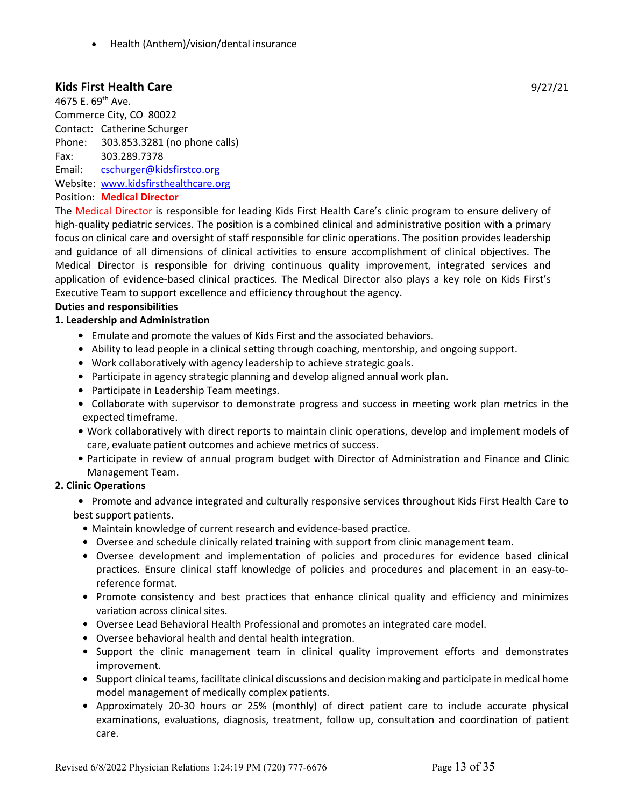• Health (Anthem)/vision/dental insurance

# **Kids First Health Care** 9/27/21

4675 E. 69<sup>th</sup> Ave. Commerce City, CO 80022 Contact: Catherine Schurger Phone: 303.853.3281 (no phone calls) Fax: 303.289.7378 Email: cschurger@kidsfirstco.org Website: www.kidsfirsthealthcare.org

# Position: **Medical Director**

The Medical Director is responsible for leading Kids First Health Care's clinic program to ensure delivery of high-quality pediatric services. The position is a combined clinical and administrative position with a primary focus on clinical care and oversight of staff responsible for clinic operations. The position provides leadership and guidance of all dimensions of clinical activities to ensure accomplishment of clinical objectives. The Medical Director is responsible for driving continuous quality improvement, integrated services and application of evidence-based clinical practices. The Medical Director also plays a key role on Kids First's Executive Team to support excellence and efficiency throughout the agency.

#### **Duties and responsibilities**

#### **1. Leadership and Administration**

- **•** Emulate and promote the values of Kids First and the associated behaviors.
- **•** Ability to lead people in a clinical setting through coaching, mentorship, and ongoing support.
- **•** Work collaboratively with agency leadership to achieve strategic goals.
- **•** Participate in agency strategic planning and develop aligned annual work plan.
- **•** Participate in Leadership Team meetings.
- **•** Collaborate with supervisor to demonstrate progress and success in meeting work plan metrics in the expected timeframe.
- **•** Work collaboratively with direct reports to maintain clinic operations, develop and implement models of care, evaluate patient outcomes and achieve metrics of success.
- **•** Participate in review of annual program budget with Director of Administration and Finance and Clinic Management Team.

# **2. Clinic Operations**

- **•** Promote and advance integrated and culturally responsive services throughout Kids First Health Care to best support patients.
	- **•** Maintain knowledge of current research and evidence-based practice.
	- **•** Oversee and schedule clinically related training with support from clinic management team.
	- **•** Oversee development and implementation of policies and procedures for evidence based clinical practices. Ensure clinical staff knowledge of policies and procedures and placement in an easy-toreference format.
	- **•** Promote consistency and best practices that enhance clinical quality and efficiency and minimizes variation across clinical sites.
	- **•** Oversee Lead Behavioral Health Professional and promotes an integrated care model.
	- **•** Oversee behavioral health and dental health integration.
	- **•** Support the clinic management team in clinical quality improvement efforts and demonstrates improvement.
	- **•** Support clinical teams, facilitate clinical discussions and decision making and participate in medical home model management of medically complex patients.
	- **•** Approximately 20-30 hours or 25% (monthly) of direct patient care to include accurate physical examinations, evaluations, diagnosis, treatment, follow up, consultation and coordination of patient care.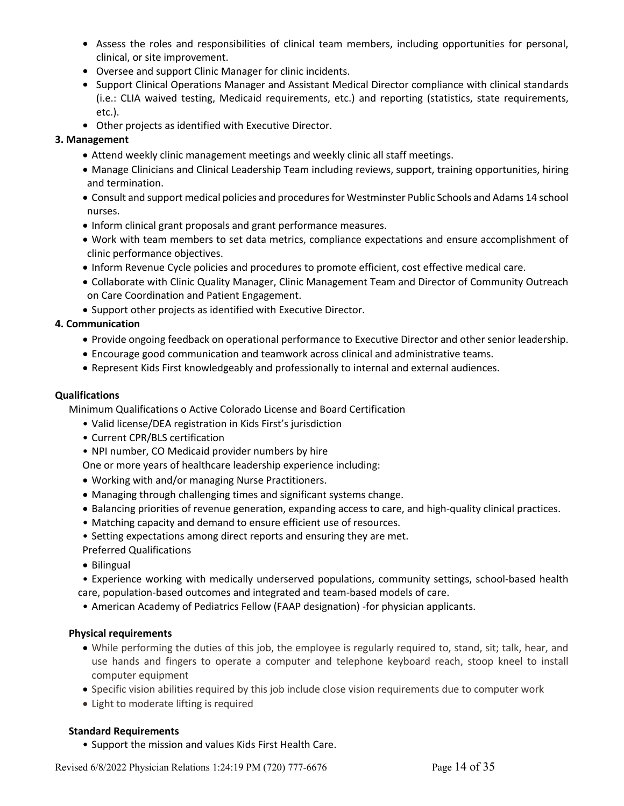- **•** Assess the roles and responsibilities of clinical team members, including opportunities for personal, clinical, or site improvement.
- **•** Oversee and support Clinic Manager for clinic incidents.
- **•** Support Clinical Operations Manager and Assistant Medical Director compliance with clinical standards (i.e.: CLIA waived testing, Medicaid requirements, etc.) and reporting (statistics, state requirements, etc.).
- **•** Other projects as identified with Executive Director.

# **3. Management**

- Attend weekly clinic management meetings and weekly clinic all staff meetings.
- Manage Clinicians and Clinical Leadership Team including reviews, support, training opportunities, hiring and termination.
- Consult and support medical policies and procedures for Westminster Public Schools and Adams 14 school nurses.
- Inform clinical grant proposals and grant performance measures.
- Work with team members to set data metrics, compliance expectations and ensure accomplishment of clinic performance objectives.
- Inform Revenue Cycle policies and procedures to promote efficient, cost effective medical care.
- Collaborate with Clinic Quality Manager, Clinic Management Team and Director of Community Outreach on Care Coordination and Patient Engagement.
- Support other projects as identified with Executive Director.

# **4. Communication**

- Provide ongoing feedback on operational performance to Executive Director and other senior leadership.
- Encourage good communication and teamwork across clinical and administrative teams.
- Represent Kids First knowledgeably and professionally to internal and external audiences.

# **Qualifications**

Minimum Qualifications o Active Colorado License and Board Certification

- Valid license/DEA registration in Kids First's jurisdiction
- Current CPR/BLS certification
- NPI number, CO Medicaid provider numbers by hire

One or more years of healthcare leadership experience including:

- Working with and/or managing Nurse Practitioners.
- Managing through challenging times and significant systems change.
- Balancing priorities of revenue generation, expanding access to care, and high-quality clinical practices.
- Matching capacity and demand to ensure efficient use of resources.

• Setting expectations among direct reports and ensuring they are met.

- Preferred Qualifications
- Bilingual

• Experience working with medically underserved populations, community settings, school-based health care, population-based outcomes and integrated and team-based models of care.

• American Academy of Pediatrics Fellow (FAAP designation) -for physician applicants.

# **Physical requirements**

- While performing the duties of this job, the employee is regularly required to, stand, sit; talk, hear, and use hands and fingers to operate a computer and telephone keyboard reach, stoop kneel to install computer equipment
- Specific vision abilities required by this job include close vision requirements due to computer work
- Light to moderate lifting is required

# **Standard Requirements**

• Support the mission and values Kids First Health Care.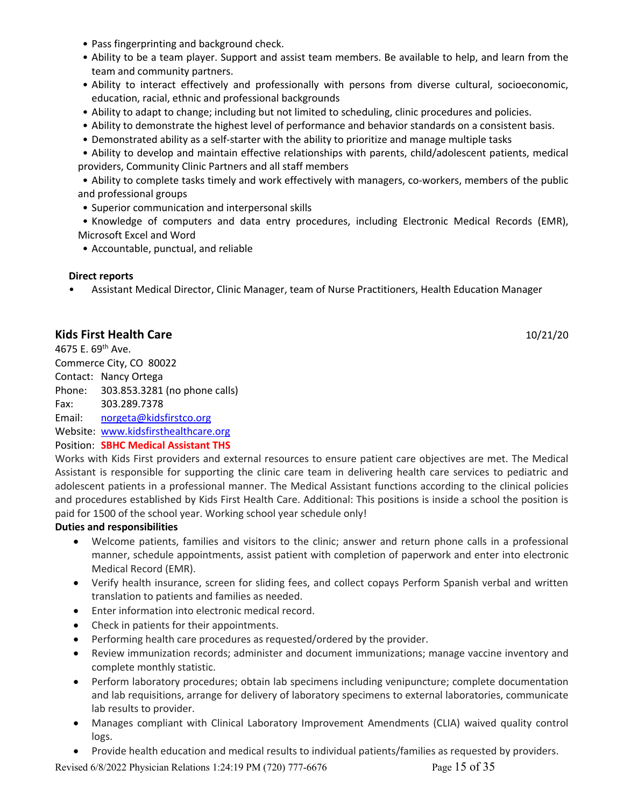- Pass fingerprinting and background check.
- Ability to be a team player. Support and assist team members. Be available to help, and learn from the team and community partners.
- Ability to interact effectively and professionally with persons from diverse cultural, socioeconomic, education, racial, ethnic and professional backgrounds
- Ability to adapt to change; including but not limited to scheduling, clinic procedures and policies.
- Ability to demonstrate the highest level of performance and behavior standards on a consistent basis.
- Demonstrated ability as a self-starter with the ability to prioritize and manage multiple tasks

• Ability to develop and maintain effective relationships with parents, child/adolescent patients, medical providers, Community Clinic Partners and all staff members

• Ability to complete tasks timely and work effectively with managers, co-workers, members of the public and professional groups

- Superior communication and interpersonal skills
- Knowledge of computers and data entry procedures, including Electronic Medical Records (EMR), Microsoft Excel and Word
- Accountable, punctual, and reliable

# **Direct reports**

• Assistant Medical Director, Clinic Manager, team of Nurse Practitioners, Health Education Manager

# **Kids First Health Care** 10/21/20

4675 E. 69th Ave. Commerce City, CO 80022 Contact: Nancy Ortega Phone: 303.853.3281 (no phone calls) Fax: 303.289.7378 Email: norgeta@kidsfirstco.org Website: www.kidsfirsthealthcare.org

Position: **SBHC Medical Assistant THS**

Works with Kids First providers and external resources to ensure patient care objectives are met. The Medical Assistant is responsible for supporting the clinic care team in delivering health care services to pediatric and adolescent patients in a professional manner. The Medical Assistant functions according to the clinical policies and procedures established by Kids First Health Care. Additional: This positions is inside a school the position is paid for 1500 of the school year. Working school year schedule only!

# **Duties and responsibilities**

- Welcome patients, families and visitors to the clinic; answer and return phone calls in a professional manner, schedule appointments, assist patient with completion of paperwork and enter into electronic Medical Record (EMR).
- Verify health insurance, screen for sliding fees, and collect copays Perform Spanish verbal and written translation to patients and families as needed.
- Enter information into electronic medical record.
- Check in patients for their appointments.
- Performing health care procedures as requested/ordered by the provider.
- Review immunization records; administer and document immunizations; manage vaccine inventory and complete monthly statistic.
- Perform laboratory procedures; obtain lab specimens including venipuncture; complete documentation and lab requisitions, arrange for delivery of laboratory specimens to external laboratories, communicate lab results to provider.
- Manages compliant with Clinical Laboratory Improvement Amendments (CLIA) waived quality control logs.
- Provide health education and medical results to individual patients/families as requested by providers.

Revised 6/8/2022 Physician Relations 1:24:19 PM (720) 777-6676 Page 15 of 35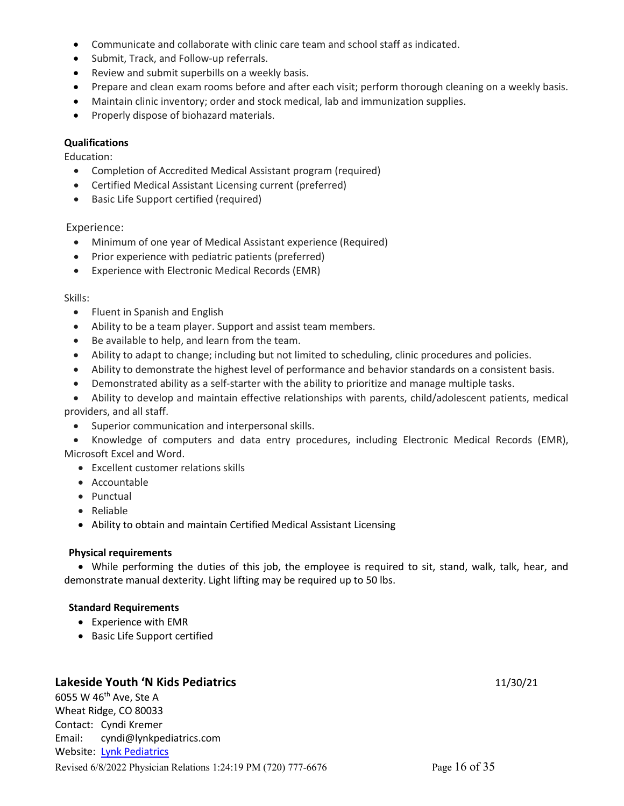- Communicate and collaborate with clinic care team and school staff as indicated.
- Submit, Track, and Follow-up referrals.
- Review and submit superbills on a weekly basis.
- Prepare and clean exam rooms before and after each visit; perform thorough cleaning on a weekly basis.
- Maintain clinic inventory; order and stock medical, lab and immunization supplies.
- Properly dispose of biohazard materials.

#### **Qualifications**

Education:

- Completion of Accredited Medical Assistant program (required)
- Certified Medical Assistant Licensing current (preferred)
- Basic Life Support certified (required)

# Experience:

- Minimum of one year of Medical Assistant experience (Required)
- Prior experience with pediatric patients (preferred)
- Experience with Electronic Medical Records (EMR)

#### Skills:

- Fluent in Spanish and English
- Ability to be a team player. Support and assist team members.
- Be available to help, and learn from the team.
- Ability to adapt to change; including but not limited to scheduling, clinic procedures and policies.
- Ability to demonstrate the highest level of performance and behavior standards on a consistent basis.
- Demonstrated ability as a self-starter with the ability to prioritize and manage multiple tasks.
- Ability to develop and maintain effective relationships with parents, child/adolescent patients, medical providers, and all staff.
	- Superior communication and interpersonal skills.
- Knowledge of computers and data entry procedures, including Electronic Medical Records (EMR), Microsoft Excel and Word.
	- Excellent customer relations skills
	- Accountable
	- Punctual
	- Reliable
	- Ability to obtain and maintain Certified Medical Assistant Licensing

# **Physical requirements**

• While performing the duties of this job, the employee is required to sit, stand, walk, talk, hear, and demonstrate manual dexterity. Light lifting may be required up to 50 lbs.

# **Standard Requirements**

- Experience with EMR
- Basic Life Support certified

# **Lakeside Youth 'N Kids Pediatrics** 11/30/21

Revised 6/8/2022 Physician Relations 1:24:19 PM (720) 777-6676 Page 16 of 35 6055 W 46th Ave, Ste A Wheat Ridge, CO 80033 Contact: Cyndi Kremer Email: cyndi@lynkpediatrics.com Website: Lynk Pediatrics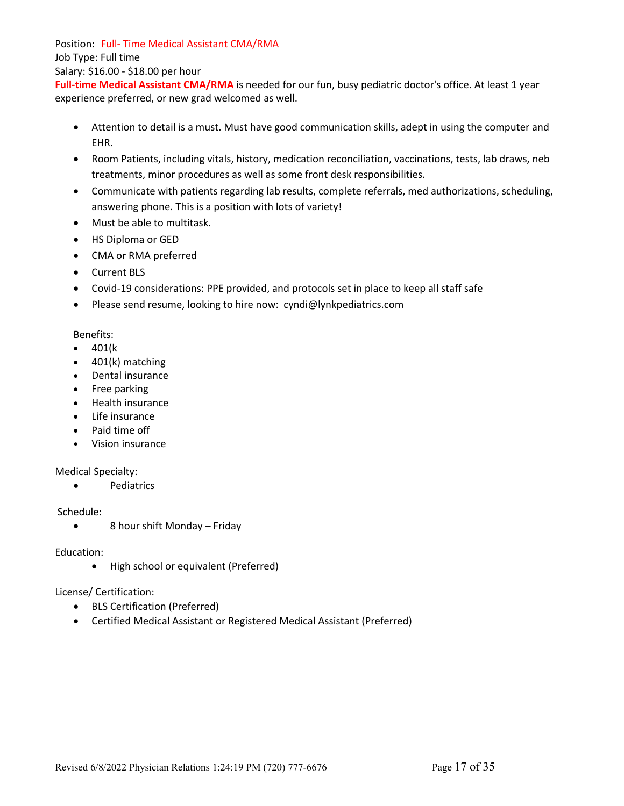Position: Full- Time Medical Assistant CMA/RMA

Job Type: Full time

Salary: \$16.00 - \$18.00 per hour

Full-time Medical Assistant CMA/RMA is needed for our fun, busy pediatric doctor's office. At least 1 year experience preferred, or new grad welcomed as well.

- Attention to detail is a must. Must have good communication skills, adept in using the computer and EHR.
- Room Patients, including vitals, history, medication reconciliation, vaccinations, tests, lab draws, neb treatments, minor procedures as well as some front desk responsibilities.
- Communicate with patients regarding lab results, complete referrals, med authorizations, scheduling, answering phone. This is a position with lots of variety!
- Must be able to multitask.
- HS Diploma or GED
- CMA or RMA preferred
- Current BLS
- Covid-19 considerations: PPE provided, and protocols set in place to keep all staff safe
- Please send resume, looking to hire now: cyndi@lynkpediatrics.com

# Benefits:

- 401(k
- 401(k) matching
- Dental insurance
- Free parking
- Health insurance
- Life insurance
- Paid time off
- Vision insurance

# Medical Specialty:

• Pediatrics

# Schedule:

• 8 hour shift Monday – Friday

# Education:

• High school or equivalent (Preferred)

# License/ Certification:

- BLS Certification (Preferred)
- Certified Medical Assistant or Registered Medical Assistant (Preferred)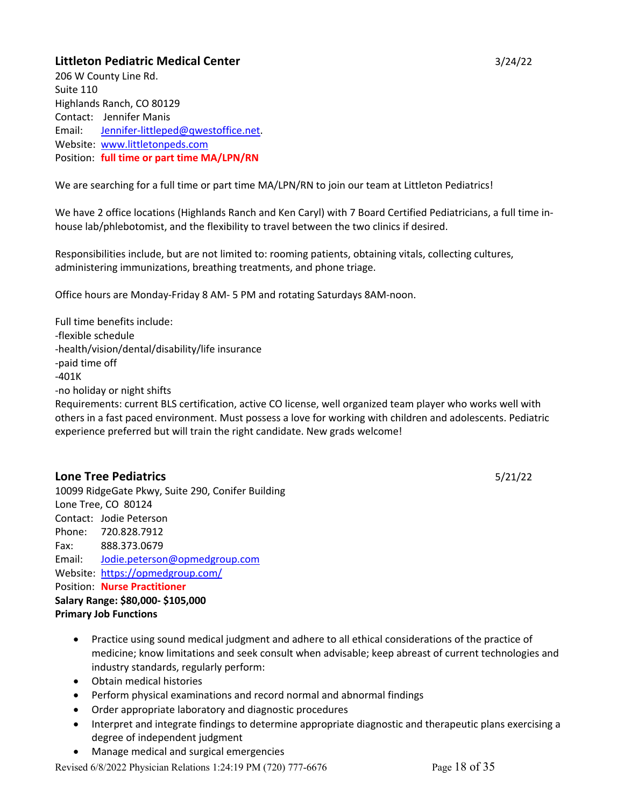# **Littleton Pediatric Medical Center** 3/24/22

206 W County Line Rd. Suite 110 Highlands Ranch, CO 80129 Contact: Jennifer Manis Email: Jennifer-littleped@qwestoffice.net. Website: www.littletonpeds.com Position: **full time or part time MA/LPN/RN**

We are searching for a full time or part time MA/LPN/RN to join our team at Littleton Pediatrics!

We have 2 office locations (Highlands Ranch and Ken Caryl) with 7 Board Certified Pediatricians, a full time inhouse lab/phlebotomist, and the flexibility to travel between the two clinics if desired.

Responsibilities include, but are not limited to: rooming patients, obtaining vitals, collecting cultures, administering immunizations, breathing treatments, and phone triage.

Office hours are Monday-Friday 8 AM- 5 PM and rotating Saturdays 8AM-noon.

Full time benefits include: -flexible schedule -health/vision/dental/disability/life insurance -paid time off -401K -no holiday or night shifts Requirements: current BLS certification, active CO license, well organized team player who works well with others in a fast paced environment. Must possess a love for working with children and adolescents. Pediatric experience preferred but will train the right candidate. New grads welcome!

# **Lone Tree Pediatrics** 5/21/22

10099 RidgeGate Pkwy, Suite 290, Conifer Building Lone Tree, CO 80124 Contact: Jodie Peterson Phone: 720.828.7912 Fax: 888.373.0679 Email: Jodie.peterson@opmedgroup.com Website: https://opmedgroup.com/ Position: **Nurse Practitioner Salary Range: \$80,000- \$105,000 Primary Job Functions**

- Practice using sound medical judgment and adhere to all ethical considerations of the practice of medicine; know limitations and seek consult when advisable; keep abreast of current technologies and industry standards, regularly perform:
- Obtain medical histories
- Perform physical examinations and record normal and abnormal findings
- Order appropriate laboratory and diagnostic procedures
- Interpret and integrate findings to determine appropriate diagnostic and therapeutic plans exercising a degree of independent judgment
- Manage medical and surgical emergencies

Revised 6/8/2022 Physician Relations 1:24:19 PM (720) 777-6676 Page 18 of 35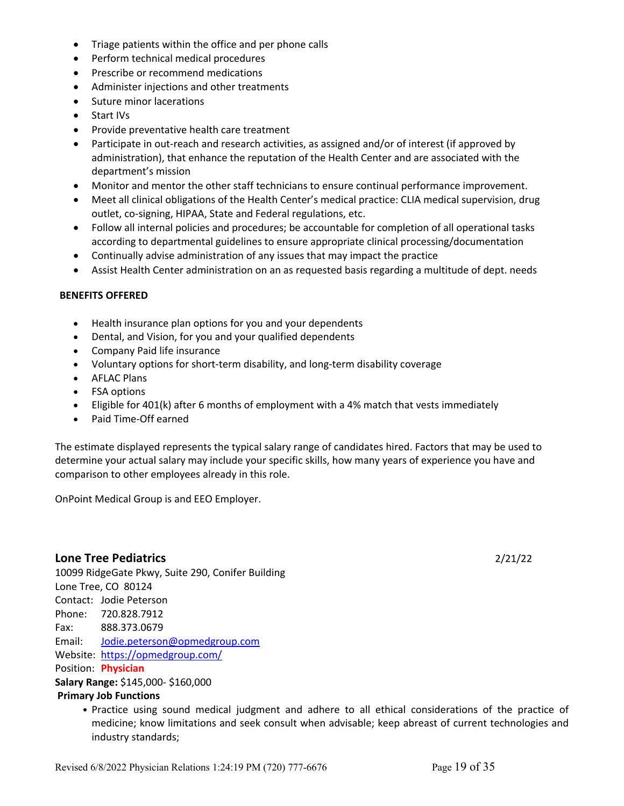- Triage patients within the office and per phone calls
- Perform technical medical procedures
- Prescribe or recommend medications
- Administer injections and other treatments
- Suture minor lacerations
- Start IVs
- Provide preventative health care treatment
- Participate in out-reach and research activities, as assigned and/or of interest (if approved by administration), that enhance the reputation of the Health Center and are associated with the department's mission
- Monitor and mentor the other staff technicians to ensure continual performance improvement.
- Meet all clinical obligations of the Health Center's medical practice: CLIA medical supervision, drug outlet, co-signing, HIPAA, State and Federal regulations, etc.
- Follow all internal policies and procedures; be accountable for completion of all operational tasks according to departmental guidelines to ensure appropriate clinical processing/documentation
- Continually advise administration of any issues that may impact the practice
- Assist Health Center administration on an as requested basis regarding a multitude of dept. needs

#### **BENEFITS OFFERED**

- Health insurance plan options for you and your dependents
- Dental, and Vision, for you and your qualified dependents
- Company Paid life insurance
- Voluntary options for short-term disability, and long-term disability coverage
- AFLAC Plans
- FSA options
- Eligible for 401(k) after 6 months of employment with a 4% match that vests immediately
- Paid Time-Off earned

The estimate displayed represents the typical salary range of candidates hired. Factors that may be used to determine your actual salary may include your specific skills, how many years of experience you have and comparison to other employees already in this role.

OnPoint Medical Group is and EEO Employer.

# **Lone Tree Pediatrics** 2/21/22

10099 RidgeGate Pkwy, Suite 290, Conifer Building Lone Tree, CO 80124 Contact: Jodie Peterson Phone: 720.828.7912 Fax: 888.373.0679 Email: Jodie.peterson@opmedgroup.com Website: https://opmedgroup.com/ Position: **Physician Salary Range:** \$145,000- \$160,000

# **Primary Job Functions**

• Practice using sound medical judgment and adhere to all ethical considerations of the practice of medicine; know limitations and seek consult when advisable; keep abreast of current technologies and industry standards;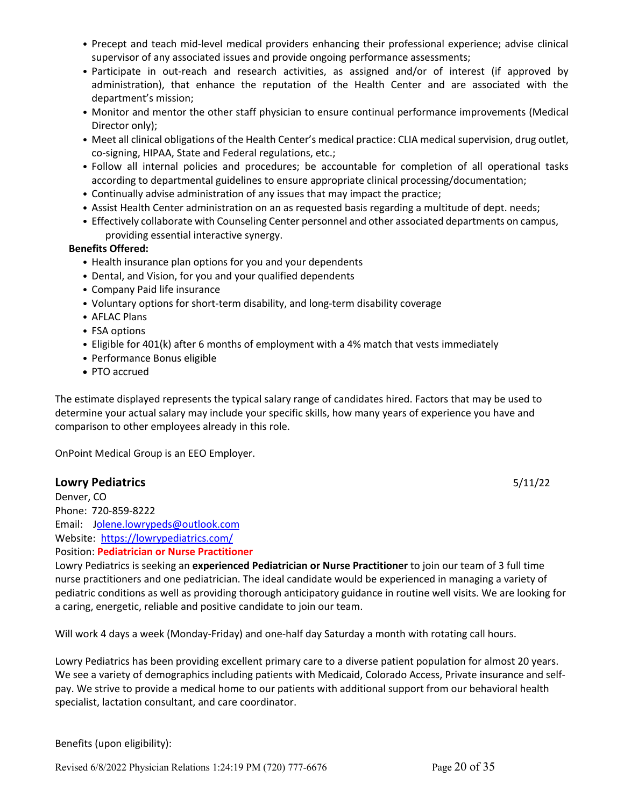- Precept and teach mid-level medical providers enhancing their professional experience; advise clinical supervisor of any associated issues and provide ongoing performance assessments;
- Participate in out-reach and research activities, as assigned and/or of interest (if approved by administration), that enhance the reputation of the Health Center and are associated with the department's mission;
- Monitor and mentor the other staff physician to ensure continual performance improvements (Medical Director only);
- Meet all clinical obligations of the Health Center's medical practice: CLIA medical supervision, drug outlet, co-signing, HIPAA, State and Federal regulations, etc.;
- Follow all internal policies and procedures; be accountable for completion of all operational tasks according to departmental guidelines to ensure appropriate clinical processing/documentation;
- Continually advise administration of any issues that may impact the practice;
- Assist Health Center administration on an as requested basis regarding a multitude of dept. needs;
- Effectively collaborate with Counseling Center personnel and other associated departments on campus, providing essential interactive synergy.

# **Benefits Offered:**

- Health insurance plan options for you and your dependents
- Dental, and Vision, for you and your qualified dependents
- Company Paid life insurance
- Voluntary options for short-term disability, and long-term disability coverage
- AFLAC Plans
- FSA options
- Eligible for 401(k) after 6 months of employment with a 4% match that vests immediately
- Performance Bonus eligible
- PTO accrued

The estimate displayed represents the typical salary range of candidates hired. Factors that may be used to determine your actual salary may include your specific skills, how many years of experience you have and comparison to other employees already in this role.

OnPoint Medical Group is an EEO Employer.

# **Lowry Pediatrics** 5/11/22

Denver, CO Phone: 720-859-8222 Email: Jolene.lowrypeds@outlook.com Website: https://lowrypediatrics.com/ Position: **Pediatrician or Nurse Practitioner**

Lowry Pediatrics is seeking an **experienced Pediatrician or Nurse Practitioner** to join our team of 3 full time nurse practitioners and one pediatrician. The ideal candidate would be experienced in managing a variety of pediatric conditions as well as providing thorough anticipatory guidance in routine well visits. We are looking for a caring, energetic, reliable and positive candidate to join our team.

Will work 4 days a week (Monday-Friday) and one-half day Saturday a month with rotating call hours.

Lowry Pediatrics has been providing excellent primary care to a diverse patient population for almost 20 years. We see a variety of demographics including patients with Medicaid, Colorado Access, Private insurance and selfpay. We strive to provide a medical home to our patients with additional support from our behavioral health specialist, lactation consultant, and care coordinator.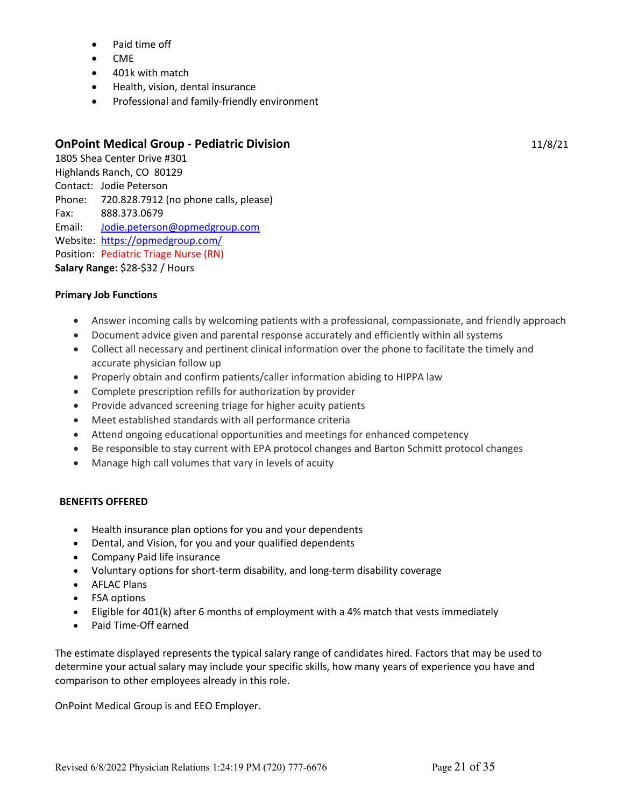- Paid time off
- CME
- 401k with match
- Health, vision, dental insurance
- Professional and family-friendly environment

# **OnPoint Medical Group - Pediatric Division** 11/8/21

1805 Shea Center Drive #301 Highlands Ranch, CO 80129 Contact: Jodie Peterson Phone: 720.828.7912 (no phone calls, please) Fax: 888.373.0679 Email: Jodie.peterson@opmedgroup.com Website: https://opmedgroup.com/ Position: Pediatric Triage Nurse (RN) **Salary Range:** \$28-\$32 / Hours

# **Primary Job Functions**

- Answer incoming calls by welcoming patients with a professional, compassionate, and friendly approach
- Document advice given and parental response accurately and efficiently within all systems
- Collect all necessary and pertinent clinical information over the phone to facilitate the timely and accurate physician follow up
- Properly obtain and confirm patients/caller information abiding to HIPPA law
- Complete prescription refills for authorization by provider
- Provide advanced screening triage for higher acuity patients
- Meet established standards with all performance criteria
- Attend ongoing educational opportunities and meetings for enhanced competency
- Be responsible to stay current with EPA protocol changes and Barton Schmitt protocol changes
- Manage high call volumes that vary in levels of acuity

# **BENEFITS OFFERED**

- Health insurance plan options for you and your dependents
- Dental, and Vision, for you and your qualified dependents
- Company Paid life insurance
- Voluntary options for short-term disability, and long-term disability coverage
- AFLAC Plans
- FSA options
- Eligible for 401(k) after 6 months of employment with a 4% match that vests immediately
- Paid Time-Off earned

The estimate displayed represents the typical salary range of candidates hired. Factors that may be used to determine your actual salary may include your specific skills, how many years of experience you have and comparison to other employees already in this role.

OnPoint Medical Group is and EEO Employer.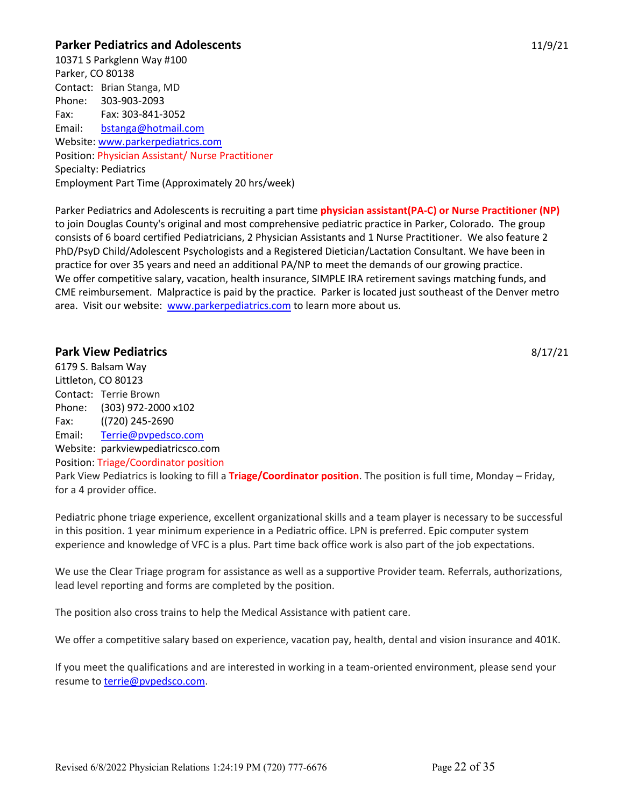# **Parker Pediatrics and Adolescents** 11/9/21

10371 S Parkglenn Way #100 Parker, CO 80138 Contact: Brian Stanga, MD Phone: 303-903-2093 Fax: Fax: 303-841-3052 Email: bstanga@hotmail.com Website: www.parkerpediatrics.com Position: Physician Assistant/ Nurse Practitioner Specialty: Pediatrics Employment Part Time (Approximately 20 hrs/week)

Parker Pediatrics and Adolescents is recruiting a part time **physician assistant(PA-C) or Nurse Practitioner (NP)** to join Douglas County's original and most comprehensive pediatric practice in Parker, Colorado. The group consists of 6 board certified Pediatricians, 2 Physician Assistants and 1 Nurse Practitioner. We also feature 2 PhD/PsyD Child/Adolescent Psychologists and a Registered Dietician/Lactation Consultant. We have been in practice for over 35 years and need an additional PA/NP to meet the demands of our growing practice. We offer competitive salary, vacation, health insurance, SIMPLE IRA retirement savings matching funds, and CME reimbursement. Malpractice is paid by the practice. Parker is located just southeast of the Denver metro area. Visit our website: www.parkerpediatrics.com to learn more about us.

# **Park View Pediatrics** 8/17/21

6179 S. Balsam Way Littleton, CO 80123 Contact: Terrie Brown Phone: (303) 972-2000 x102 Fax: ((720) 245-2690 Email: Terrie@pvpedsco.com Website: parkviewpediatricsco.com Position: Triage/Coordinator position Park View Pediatrics is looking to fill a **Triage/Coordinator position**. The position is full time, Monday – Friday, for a 4 provider office.

Pediatric phone triage experience, excellent organizational skills and a team player is necessary to be successful in this position. 1 year minimum experience in a Pediatric office. LPN is preferred. Epic computer system

experience and knowledge of VFC is a plus. Part time back office work is also part of the job expectations.

We use the Clear Triage program for assistance as well as a supportive Provider team. Referrals, authorizations, lead level reporting and forms are completed by the position.

The position also cross trains to help the Medical Assistance with patient care.

We offer a competitive salary based on experience, vacation pay, health, dental and vision insurance and 401K.

If you meet the qualifications and are interested in working in a team-oriented environment, please send your resume to **terrie@pvpedsco.com**.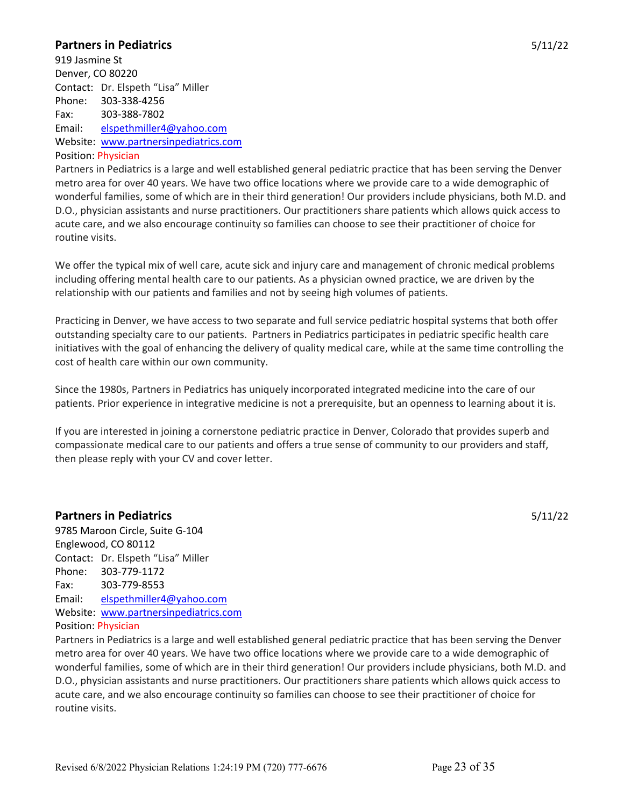# **Partners in Pediatrics** 5/11/22

919 Jasmine St Denver, CO 80220 Contact: Dr. Elspeth "Lisa" Miller Phone: 303-338-4256 Fax: 303-388-7802 Email: elspethmiller4@yahoo.com Website: www.partnersinpediatrics.com

# Position: Physician

Partners in Pediatrics is a large and well established general pediatric practice that has been serving the Denver metro area for over 40 years. We have two office locations where we provide care to a wide demographic of wonderful families, some of which are in their third generation! Our providers include physicians, both M.D. and D.O., physician assistants and nurse practitioners. Our practitioners share patients which allows quick access to acute care, and we also encourage continuity so families can choose to see their practitioner of choice for routine visits.

We offer the typical mix of well care, acute sick and injury care and management of chronic medical problems including offering mental health care to our patients. As a physician owned practice, we are driven by the relationship with our patients and families and not by seeing high volumes of patients.

Practicing in Denver, we have access to two separate and full service pediatric hospital systems that both offer outstanding specialty care to our patients. Partners in Pediatrics participates in pediatric specific health care initiatives with the goal of enhancing the delivery of quality medical care, while at the same time controlling the cost of health care within our own community.

Since the 1980s, Partners in Pediatrics has uniquely incorporated integrated medicine into the care of our patients. Prior experience in integrative medicine is not a prerequisite, but an openness to learning about it is.

If you are interested in joining a cornerstone pediatric practice in Denver, Colorado that provides superb and compassionate medical care to our patients and offers a true sense of community to our providers and staff, then please reply with your CV and cover letter.

# **Partners in Pediatrics** 5/11/22

9785 Maroon Circle, Suite G-104 Englewood, CO 80112 Contact: Dr. Elspeth "Lisa" Miller Phone: 303-779-1172 Fax: 303-779-8553 Email: elspethmiller4@yahoo.com Website: www.partnersinpediatrics.com

# Position: Physician

Partners in Pediatrics is a large and well established general pediatric practice that has been serving the Denver metro area for over 40 years. We have two office locations where we provide care to a wide demographic of wonderful families, some of which are in their third generation! Our providers include physicians, both M.D. and D.O., physician assistants and nurse practitioners. Our practitioners share patients which allows quick access to acute care, and we also encourage continuity so families can choose to see their practitioner of choice for routine visits.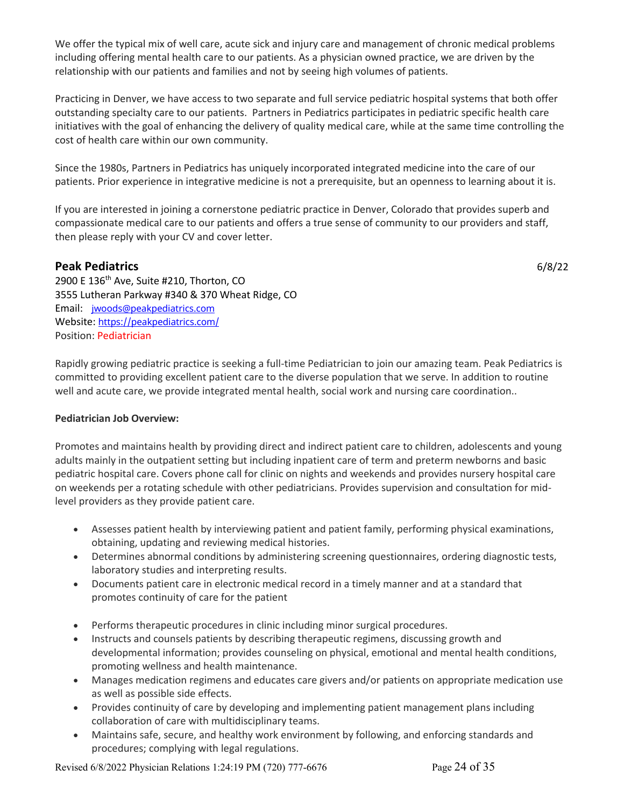We offer the typical mix of well care, acute sick and injury care and management of chronic medical problems including offering mental health care to our patients. As a physician owned practice, we are driven by the relationship with our patients and families and not by seeing high volumes of patients.

Practicing in Denver, we have access to two separate and full service pediatric hospital systems that both offer outstanding specialty care to our patients. Partners in Pediatrics participates in pediatric specific health care initiatives with the goal of enhancing the delivery of quality medical care, while at the same time controlling the cost of health care within our own community.

Since the 1980s, Partners in Pediatrics has uniquely incorporated integrated medicine into the care of our patients. Prior experience in integrative medicine is not a prerequisite, but an openness to learning about it is.

If you are interested in joining a cornerstone pediatric practice in Denver, Colorado that provides superb and compassionate medical care to our patients and offers a true sense of community to our providers and staff, then please reply with your CV and cover letter.

# **Peak Pediatrics** 6/8/22

2900 E 136<sup>th</sup> Ave, Suite #210, Thorton, CO 3555 Lutheran Parkway #340 & 370 Wheat Ridge, CO Email: jwoods@peakpediatrics.com Website: https://peakpediatrics.com/ Position: Pediatrician

Rapidly growing pediatric practice is seeking a full-time Pediatrician to join our amazing team. Peak Pediatrics is committed to providing excellent patient care to the diverse population that we serve. In addition to routine well and acute care, we provide integrated mental health, social work and nursing care coordination..

# **Pediatrician Job Overview:**

Promotes and maintains health by providing direct and indirect patient care to children, adolescents and young adults mainly in the outpatient setting but including inpatient care of term and preterm newborns and basic pediatric hospital care. Covers phone call for clinic on nights and weekends and provides nursery hospital care on weekends per a rotating schedule with other pediatricians. Provides supervision and consultation for midlevel providers as they provide patient care.

- Assesses patient health by interviewing patient and patient family, performing physical examinations, obtaining, updating and reviewing medical histories.
- Determines abnormal conditions by administering screening questionnaires, ordering diagnostic tests, laboratory studies and interpreting results.
- Documents patient care in electronic medical record in a timely manner and at a standard that promotes continuity of care for the patient
- Performs therapeutic procedures in clinic including minor surgical procedures.
- Instructs and counsels patients by describing therapeutic regimens, discussing growth and developmental information; provides counseling on physical, emotional and mental health conditions, promoting wellness and health maintenance.
- Manages medication regimens and educates care givers and/or patients on appropriate medication use as well as possible side effects.
- Provides continuity of care by developing and implementing patient management plans including collaboration of care with multidisciplinary teams.
- Maintains safe, secure, and healthy work environment by following, and enforcing standards and procedures; complying with legal regulations.

Revised 6/8/2022 Physician Relations 1:24:19 PM (720) 777-6676 Page 24 of 35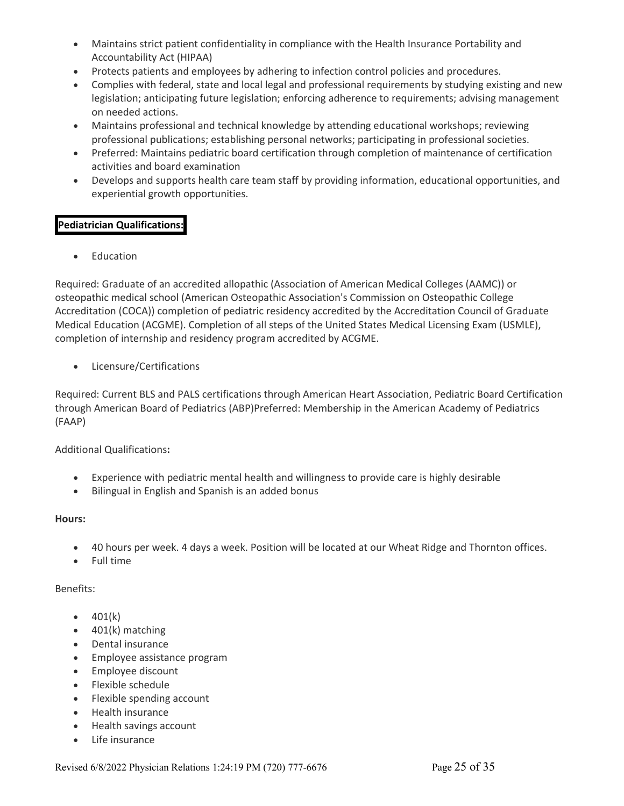- Maintains strict patient confidentiality in compliance with the Health Insurance Portability and Accountability Act (HIPAA)
- Protects patients and employees by adhering to infection control policies and procedures.
- Complies with federal, state and local legal and professional requirements by studying existing and new legislation; anticipating future legislation; enforcing adherence to requirements; advising management on needed actions.
- Maintains professional and technical knowledge by attending educational workshops; reviewing professional publications; establishing personal networks; participating in professional societies.
- Preferred: Maintains pediatric board certification through completion of maintenance of certification activities and board examination
- Develops and supports health care team staff by providing information, educational opportunities, and experiential growth opportunities.

# **Pediatrician Qualifications:**

**Education** 

Required: Graduate of an accredited allopathic (Association of American Medical Colleges (AAMC)) or osteopathic medical school (American Osteopathic Association's Commission on Osteopathic College Accreditation (COCA)) completion of pediatric residency accredited by the Accreditation Council of Graduate Medical Education (ACGME). Completion of all steps of the United States Medical Licensing Exam (USMLE), completion of internship and residency program accredited by ACGME.

• Licensure/Certifications

Required: Current BLS and PALS certifications through American Heart Association, Pediatric Board Certification through American Board of Pediatrics (ABP)Preferred: Membership in the American Academy of Pediatrics (FAAP)

# Additional Qualifications**:**

- Experience with pediatric mental health and willingness to provide care is highly desirable
- Bilingual in English and Spanish is an added bonus

# **Hours:**

- 40 hours per week. 4 days a week. Position will be located at our Wheat Ridge and Thornton offices.
- Full time

# Benefits:

- $401(k)$
- 401(k) matching
- Dental insurance
- Employee assistance program
- Employee discount
- Flexible schedule
- Flexible spending account
- Health insurance
- Health savings account
- Life insurance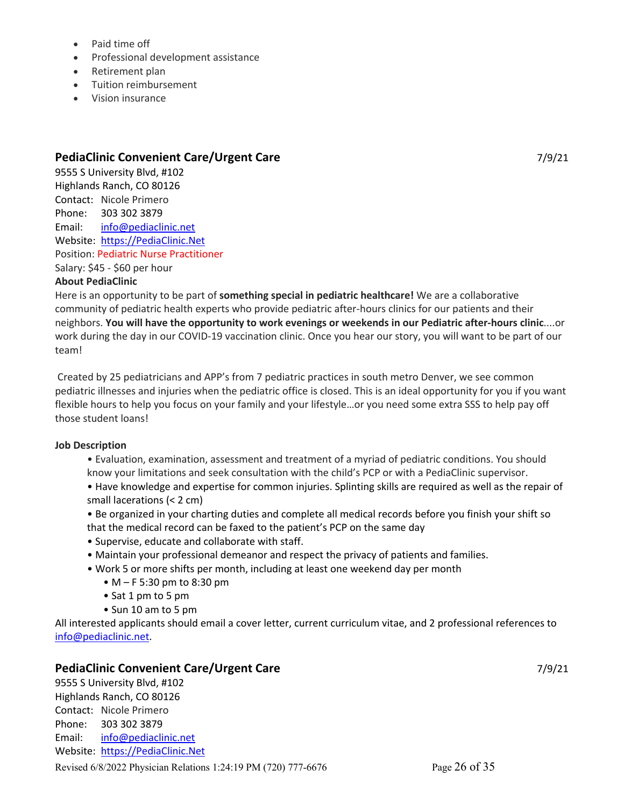- Paid time off
- Professional development assistance
- Retirement plan
- Tuition reimbursement
- Vision insurance

# **PediaClinic Convenient Care/Urgent Care** 7/9/21

9555 S University Blvd, #102 Highlands Ranch, CO 80126 Contact: Nicole Primero Phone: 303 302 3879 Email: info@pediaclinic.net Website: https://PediaClinic.Net Position: Pediatric Nurse Practitioner Salary: \$45 - \$60 per hour

# **About PediaClinic**

Here is an opportunity to be part of **something special in pediatric healthcare!** We are a collaborative community of pediatric health experts who provide pediatric after-hours clinics for our patients and their neighbors. **You will have the opportunity to work evenings or weekends in our Pediatric after-hours clinic**....or work during the day in our COVID-19 vaccination clinic. Once you hear our story, you will want to be part of our team!

Created by 25 pediatricians and APP's from 7 pediatric practices in south metro Denver, we see common pediatric illnesses and injuries when the pediatric office is closed. This is an ideal opportunity for you if you want flexible hours to help you focus on your family and your lifestyle…or you need some extra SSS to help pay off those student loans!

# **Job Description**

- Evaluation, examination, assessment and treatment of a myriad of pediatric conditions. You should know your limitations and seek consultation with the child's PCP or with a PediaClinic supervisor.
- Have knowledge and expertise for common injuries. Splinting skills are required as well as the repair of small lacerations (< 2 cm)
- Be organized in your charting duties and complete all medical records before you finish your shift so that the medical record can be faxed to the patient's PCP on the same day
- Supervise, educate and collaborate with staff.
- Maintain your professional demeanor and respect the privacy of patients and families.
- Work 5 or more shifts per month, including at least one weekend day per month
	- M F 5:30 pm to 8:30 pm
	- Sat 1 pm to 5 pm
	- Sun 10 am to 5 pm

All interested applicants should email a cover letter, current curriculum vitae, and 2 professional references to info@pediaclinic.net.

# **PediaClinic Convenient Care/Urgent Care** 7/9/21

9555 S University Blvd, #102 Highlands Ranch, CO 80126 Contact: Nicole Primero Phone: 303 302 3879 Email: info@pediaclinic.net Website: https://PediaClinic.Net

Revised 6/8/2022 Physician Relations 1:24:19 PM (720) 777-6676 Page 26 of 35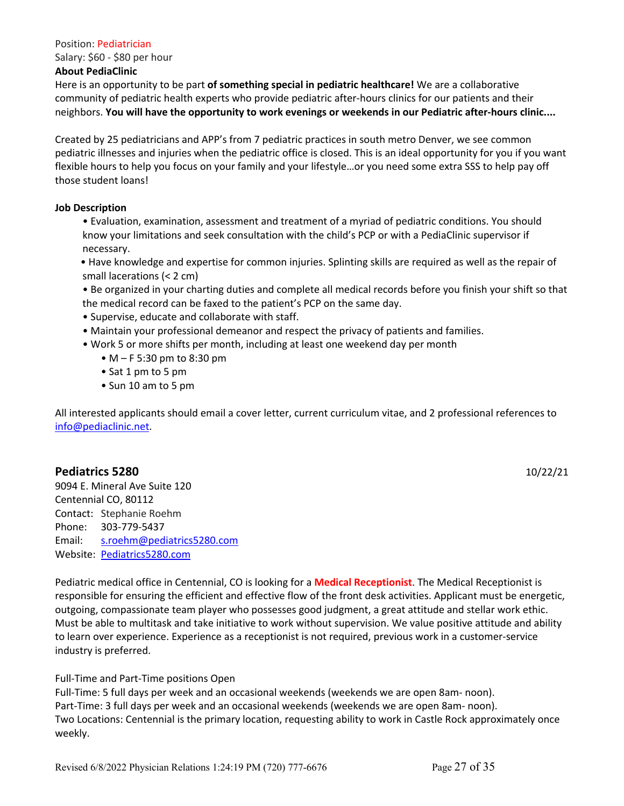#### Position: Pediatrician

Salary: \$60 - \$80 per hour

#### **About PediaClinic**

Here is an opportunity to be part **of something special in pediatric healthcare!** We are a collaborative community of pediatric health experts who provide pediatric after-hours clinics for our patients and their neighbors. **You will have the opportunity to work evenings or weekends in our Pediatric after-hours clinic....** 

Created by 25 pediatricians and APP's from 7 pediatric practices in south metro Denver, we see common pediatric illnesses and injuries when the pediatric office is closed. This is an ideal opportunity for you if you want flexible hours to help you focus on your family and your lifestyle…or you need some extra SSS to help pay off those student loans!

# **Job Description**

- Evaluation, examination, assessment and treatment of a myriad of pediatric conditions. You should know your limitations and seek consultation with the child's PCP or with a PediaClinic supervisor if necessary.
- Have knowledge and expertise for common injuries. Splinting skills are required as well as the repair of small lacerations (< 2 cm)
- Be organized in your charting duties and complete all medical records before you finish your shift so that the medical record can be faxed to the patient's PCP on the same day.
- Supervise, educate and collaborate with staff.
- Maintain your professional demeanor and respect the privacy of patients and families.
- Work 5 or more shifts per month, including at least one weekend day per month
	- M F 5:30 pm to 8:30 pm
	- Sat 1 pm to 5 pm
	- Sun 10 am to 5 pm

All interested applicants should email a cover letter, current curriculum vitae, and 2 professional references to info@pediaclinic.net.

# **Pediatrics 5280** 10/22/21

9094 E. Mineral Ave Suite 120 Centennial CO, 80112 Contact: Stephanie Roehm Phone: 303-779-5437 Email: s.roehm@pediatrics5280.com Website: Pediatrics5280.com

Pediatric medical office in Centennial, CO is looking for a **Medical Receptionist**. The Medical Receptionist is responsible for ensuring the efficient and effective flow of the front desk activities. Applicant must be energetic, outgoing, compassionate team player who possesses good judgment, a great attitude and stellar work ethic. Must be able to multitask and take initiative to work without supervision. We value positive attitude and ability to learn over experience. Experience as a receptionist is not required, previous work in a customer-service industry is preferred.

Full-Time and Part-Time positions Open

Full-Time: 5 full days per week and an occasional weekends (weekends we are open 8am- noon). Part-Time: 3 full days per week and an occasional weekends (weekends we are open 8am- noon). Two Locations: Centennial is the primary location, requesting ability to work in Castle Rock approximately once weekly.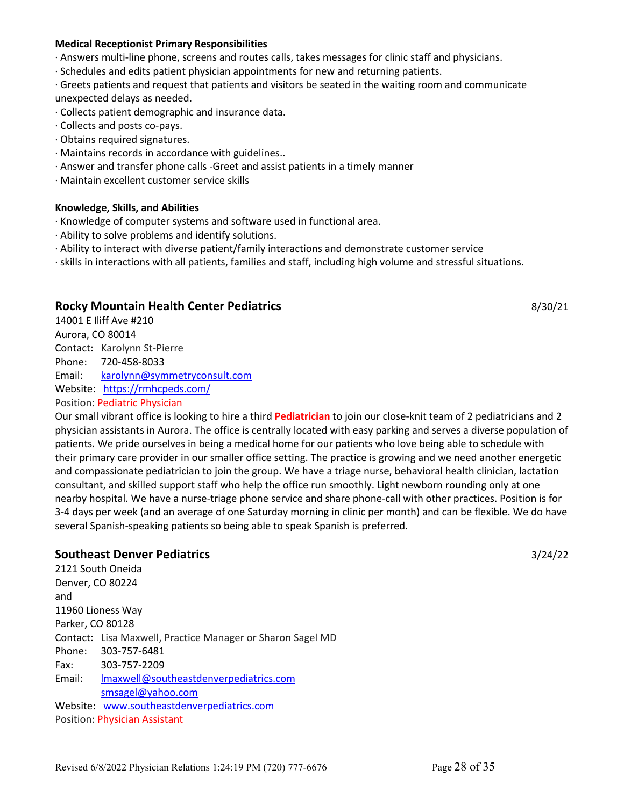#### **Medical Receptionist Primary Responsibilities**

· Answers multi-line phone, screens and routes calls, takes messages for clinic staff and physicians.

· Schedules and edits patient physician appointments for new and returning patients.

· Greets patients and request that patients and visitors be seated in the waiting room and communicate unexpected delays as needed.

- · Collects patient demographic and insurance data.
- · Collects and posts co-pays.
- · Obtains required signatures.
- · Maintains records in accordance with guidelines..
- · Answer and transfer phone calls -Greet and assist patients in a timely manner
- · Maintain excellent customer service skills

#### **Knowledge, Skills, and Abilities**

- · Knowledge of computer systems and software used in functional area.
- · Ability to solve problems and identify solutions.
- · Ability to interact with diverse patient/family interactions and demonstrate customer service
- · skills in interactions with all patients, families and staff, including high volume and stressful situations.

# **Rocky Mountain Health Center Pediatrics** 8/30/21

14001 E Iliff Ave #210 Aurora, CO 80014 Contact: Karolynn St-Pierre Phone: 720-458-8033 Email: karolynn@symmetryconsult.com Website: https://rmhcpeds.com/ Position: Pediatric Physician

Our small vibrant office is looking to hire a third **Pediatrician** to join our close-knit team of 2 pediatricians and 2 physician assistants in Aurora. The office is centrally located with easy parking and serves a diverse population of patients. We pride ourselves in being a medical home for our patients who love being able to schedule with their primary care provider in our smaller office setting. The practice is growing and we need another energetic and compassionate pediatrician to join the group. We have a triage nurse, behavioral health clinician, lactation consultant, and skilled support staff who help the office run smoothly. Light newborn rounding only at one nearby hospital. We have a nurse-triage phone service and share phone-call with other practices. Position is for 3-4 days per week (and an average of one Saturday morning in clinic per month) and can be flexible. We do have several Spanish-speaking patients so being able to speak Spanish is preferred.

# **Southeast Denver Pediatrics** 3/24/22

2121 South Oneida Denver, CO 80224 and 11960 Lioness Way Parker, CO 80128 Contact: Lisa Maxwell, Practice Manager or Sharon Sagel MD Phone: 303-757-6481 Fax: 303-757-2209 Email: lmaxwell@southeastdenverpediatrics.com smsagel@yahoo.com Website: www.southeastdenverpediatrics.com Position: Physician Assistant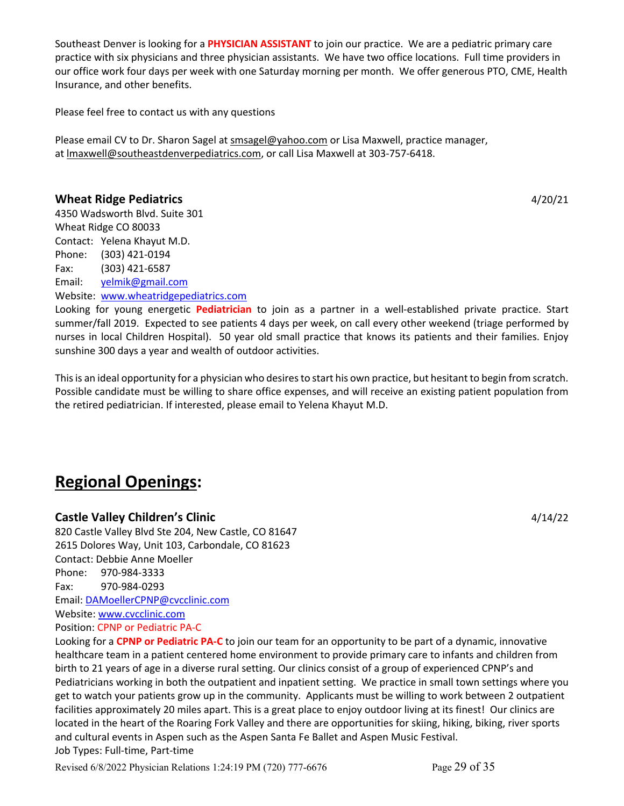Southeast Denver is looking for a **PHYSICIAN ASSISTANT** to join our practice. We are a pediatric primary care practice with six physicians and three physician assistants. We have two office locations. Full time providers in our office work four days per week with one Saturday morning per month. We offer generous PTO, CME, Health Insurance, and other benefits.

Please feel free to contact us with any questions

Please email CV to Dr. Sharon Sagel at smsagel@yahoo.com or Lisa Maxwell, practice manager, at lmaxwell@southeastdenverpediatrics.com, or call Lisa Maxwell at 303-757-6418.

# **Wheat Ridge Pediatrics** 4/20/21

4350 Wadsworth Blvd. Suite 301 Wheat Ridge CO 80033 Contact: Yelena Khayut M.D. Phone: (303) 421-0194 Fax: (303) 421-6587 Email: yelmik@gmail.com

Website: www.wheatridgepediatrics.com

Looking for young energetic **Pediatrician** to join as a partner in a well-established private practice. Start summer/fall 2019. Expected to see patients 4 days per week, on call every other weekend (triage performed by nurses in local Children Hospital). 50 year old small practice that knows its patients and their families. Enjoy sunshine 300 days a year and wealth of outdoor activities.

This is an ideal opportunity for a physician who desires to start his own practice, but hesitant to begin from scratch. Possible candidate must be willing to share office expenses, and will receive an existing patient population from the retired pediatrician. If interested, please email to Yelena Khayut M.D.

# **Regional Openings:**

# **Castle Valley Children's Clinic** 4/14/22

820 Castle Valley Blvd Ste 204, New Castle, CO 81647 2615 Dolores Way, Unit 103, Carbondale, CO 81623 Contact: Debbie Anne Moeller Phone: 970-984-3333 Fax: 970-984-0293 Email: DAMoellerCPNP@cvcclinic.com Website: www.cvcclinic.com Position: CPNP or Pediatric PA-C

Looking for a **CPNP or Pediatric PA-C** to join our team for an opportunity to be part of a dynamic, innovative healthcare team in a patient centered home environment to provide primary care to infants and children from birth to 21 years of age in a diverse rural setting. Our clinics consist of a group of experienced CPNP's and Pediatricians working in both the outpatient and inpatient setting. We practice in small town settings where you get to watch your patients grow up in the community. Applicants must be willing to work between 2 outpatient facilities approximately 20 miles apart. This is a great place to enjoy outdoor living at its finest! Our clinics are located in the heart of the Roaring Fork Valley and there are opportunities for skiing, hiking, biking, river sports and cultural events in Aspen such as the Aspen Santa Fe Ballet and Aspen Music Festival. Job Types: Full-time, Part-time

Revised 6/8/2022 Physician Relations 1:24:19 PM (720) 777-6676 Page 29 of 35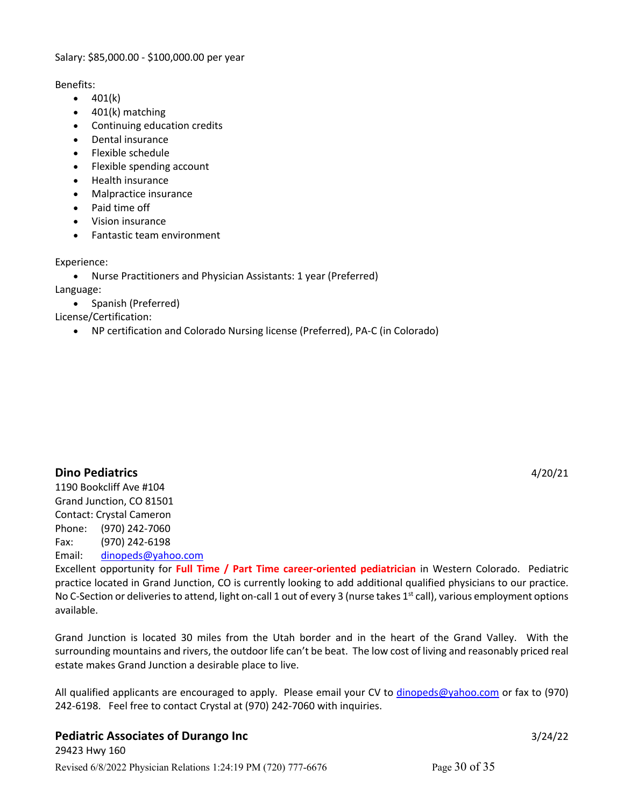# Salary: \$85,000.00 - \$100,000.00 per year

Benefits:

- $401(k)$
- 401(k) matching
- Continuing education credits
- Dental insurance
- Flexible schedule
- Flexible spending account
- Health insurance
- Malpractice insurance
- Paid time off
- Vision insurance
- Fantastic team environment

Experience:

• Nurse Practitioners and Physician Assistants: 1 year (Preferred) Language:

• Spanish (Preferred)

License/Certification:

• NP certification and Colorado Nursing license (Preferred), PA-C (in Colorado)

**Dino Pediatrics** 4/20/21

1190 Bookcliff Ave #104 Grand Junction, CO 81501 Contact: Crystal Cameron Phone: (970) 242-7060 Fax: (970) 242-6198 Email: dinopeds@yahoo.com

Excellent opportunity for **Full Time / Part Time career-oriented pediatrician** in Western Colorado. Pediatric practice located in Grand Junction, CO is currently looking to add additional qualified physicians to our practice. No C-Section or deliveries to attend, light on-call 1 out of every 3 (nurse takes 1<sup>st</sup> call), various employment options available.

Grand Junction is located 30 miles from the Utah border and in the heart of the Grand Valley. With the surrounding mountains and rivers, the outdoor life can't be beat. The low cost of living and reasonably priced real estate makes Grand Junction a desirable place to live.

All qualified applicants are encouraged to apply. Please email your CV to dinopeds@yahoo.com or fax to (970) 242-6198. Feel free to contact Crystal at (970) 242-7060 with inquiries.

# **Pediatric Associates of Durango Inc** 3/24/22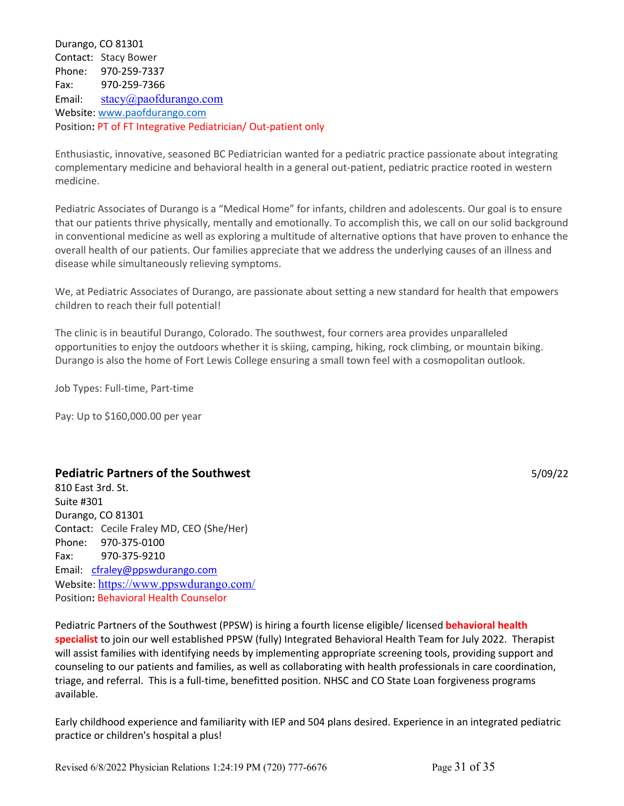Durango, CO 81301 Contact: Stacy Bower Phone: 970-259-7337 Fax: 970-259-7366 Email: stacy@paofdurango.com Website: www.paofdurango.com Position**:** PT of FT Integrative Pediatrician/ Out-patient only

Enthusiastic, innovative, seasoned BC Pediatrician wanted for a pediatric practice passionate about integrating complementary medicine and behavioral health in a general out-patient, pediatric practice rooted in western medicine.

Pediatric Associates of Durango is a "Medical Home" for infants, children and adolescents. Our goal is to ensure that our patients thrive physically, mentally and emotionally. To accomplish this, we call on our solid background in conventional medicine as well as exploring a multitude of alternative options that have proven to enhance the overall health of our patients. Our families appreciate that we address the underlying causes of an illness and disease while simultaneously relieving symptoms.

We, at Pediatric Associates of Durango, are passionate about setting a new standard for health that empowers children to reach their full potential!

The clinic is in beautiful Durango, Colorado. The southwest, four corners area provides unparalleled opportunities to enjoy the outdoors whether it is skiing, camping, hiking, rock climbing, or mountain biking. Durango is also the home of Fort Lewis College ensuring a small town feel with a cosmopolitan outlook.

Job Types: Full-time, Part-time

Pay: Up to \$160,000.00 per year

# **Pediatric Partners of the Southwest** 5/09/22

810 East 3rd. St. Suite #301 Durango, CO 81301 Contact: Cecile Fraley MD, CEO (She/Her) Phone: 970-375-0100 Fax: 970-375-9210 Email: cfraley@ppswdurango.com Website: https://www.ppswdurango.com/ Position**:** Behavioral Health Counselor

Pediatric Partners of the Southwest (PPSW) is hiring a fourth license eligible/ licensed **behavioral health specialist** to join our well established PPSW (fully) Integrated Behavioral Health Team for July 2022. Therapist will assist families with identifying needs by implementing appropriate screening tools, providing support and counseling to our patients and families, as well as collaborating with health professionals in care coordination, triage, and referral. This is a full-time, benefitted position. NHSC and CO State Loan forgiveness programs available.

Early childhood experience and familiarity with IEP and 504 plans desired. Experience in an integrated pediatric practice or children's hospital a plus!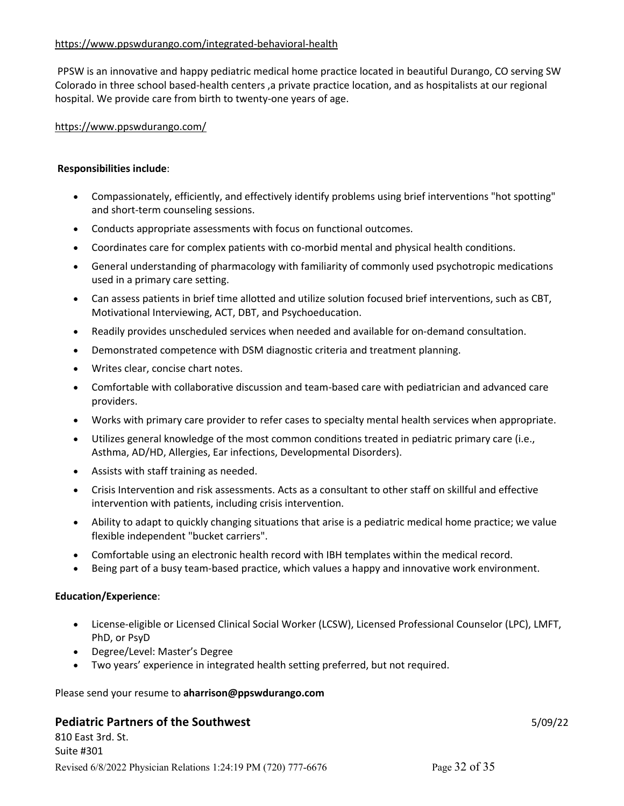# https://www.ppswdurango.com/integrated-behavioral-health

PPSW is an innovative and happy pediatric medical home practice located in beautiful Durango, CO serving SW Colorado in three school based-health centers ,a private practice location, and as hospitalists at our regional hospital. We provide care from birth to twenty-one years of age.

# https://www.ppswdurango.com/

# **Responsibilities include**:

- Compassionately, efficiently, and effectively identify problems using brief interventions "hot spotting" and short-term counseling sessions.
- Conducts appropriate assessments with focus on functional outcomes.
- Coordinates care for complex patients with co-morbid mental and physical health conditions.
- General understanding of pharmacology with familiarity of commonly used psychotropic medications used in a primary care setting.
- Can assess patients in brief time allotted and utilize solution focused brief interventions, such as CBT, Motivational Interviewing, ACT, DBT, and Psychoeducation.
- Readily provides unscheduled services when needed and available for on-demand consultation.
- Demonstrated competence with DSM diagnostic criteria and treatment planning.
- Writes clear, concise chart notes.
- Comfortable with collaborative discussion and team-based care with pediatrician and advanced care providers.
- Works with primary care provider to refer cases to specialty mental health services when appropriate.
- Utilizes general knowledge of the most common conditions treated in pediatric primary care (i.e., Asthma, AD/HD, Allergies, Ear infections, Developmental Disorders).
- Assists with staff training as needed.
- Crisis Intervention and risk assessments. Acts as a consultant to other staff on skillful and effective intervention with patients, including crisis intervention.
- Ability to adapt to quickly changing situations that arise is a pediatric medical home practice; we value flexible independent "bucket carriers".
- Comfortable using an electronic health record with IBH templates within the medical record.
- Being part of a busy team-based practice, which values a happy and innovative work environment.

# **Education/Experience**:

- License-eligible or Licensed Clinical Social Worker (LCSW), Licensed Professional Counselor (LPC), LMFT, PhD, or PsyD
- Degree/Level: Master's Degree
- Two years' experience in integrated health setting preferred, but not required.

#### Please send your resume to **aharrison@ppswdurango.com**

# **Pediatric Partners of the Southwest** 5/09/22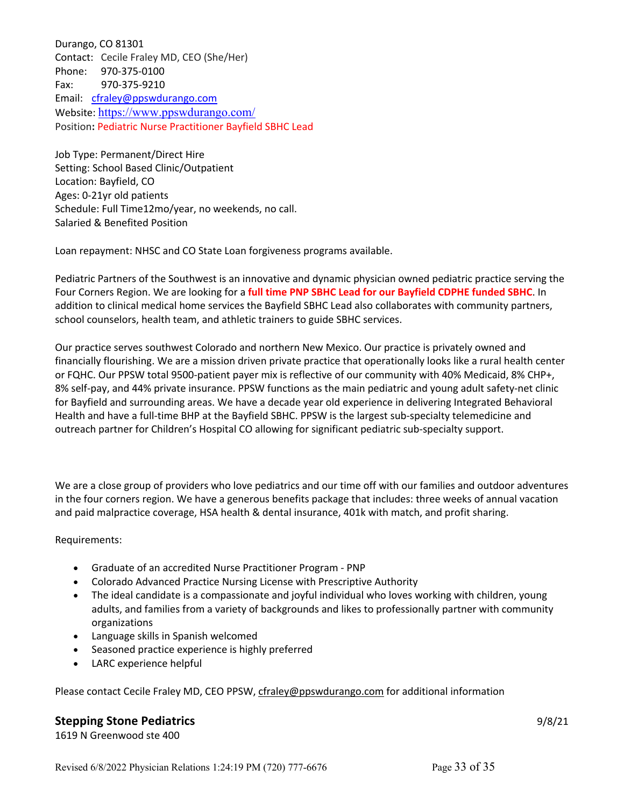Durango, CO 81301 Contact: Cecile Fraley MD, CEO (She/Her) Phone: 970-375-0100 Fax: 970-375-9210 Email: cfraley@ppswdurango.com Website: https://www.ppswdurango.com/ Position**:** Pediatric Nurse Practitioner Bayfield SBHC Lead

Job Type: Permanent/Direct Hire Setting: School Based Clinic/Outpatient Location: Bayfield, CO Ages: 0-21yr old patients Schedule: Full Time12mo/year, no weekends, no call. Salaried & Benefited Position

Loan repayment: NHSC and CO State Loan forgiveness programs available.

Pediatric Partners of the Southwest is an innovative and dynamic physician owned pediatric practice serving the Four Corners Region. We are looking for a **full time PNP SBHC Lead for our Bayfield CDPHE funded SBHC**. In addition to clinical medical home services the Bayfield SBHC Lead also collaborates with community partners, school counselors, health team, and athletic trainers to guide SBHC services.

Our practice serves southwest Colorado and northern New Mexico. Our practice is privately owned and financially flourishing. We are a mission driven private practice that operationally looks like a rural health center or FQHC. Our PPSW total 9500-patient payer mix is reflective of our community with 40% Medicaid, 8% CHP+, 8% self-pay, and 44% private insurance. PPSW functions as the main pediatric and young adult safety-net clinic for Bayfield and surrounding areas. We have a decade year old experience in delivering Integrated Behavioral Health and have a full-time BHP at the Bayfield SBHC. PPSW is the largest sub-specialty telemedicine and outreach partner for Children's Hospital CO allowing for significant pediatric sub-specialty support.

We are a close group of providers who love pediatrics and our time off with our families and outdoor adventures in the four corners region. We have a generous benefits package that includes: three weeks of annual vacation and paid malpractice coverage, HSA health & dental insurance, 401k with match, and profit sharing.

Requirements:

- Graduate of an accredited Nurse Practitioner Program PNP
- Colorado Advanced Practice Nursing License with Prescriptive Authority
- The ideal candidate is a compassionate and joyful individual who loves working with children, young adults, and families from a variety of backgrounds and likes to professionally partner with community organizations
- Language skills in Spanish welcomed
- Seasoned practice experience is highly preferred
- LARC experience helpful

Please contact Cecile Fraley MD, CEO PPSW, cfraley@ppswdurango.com for additional information

# **Stepping Stone Pediatrics** 9/8/21

1619 N Greenwood ste 400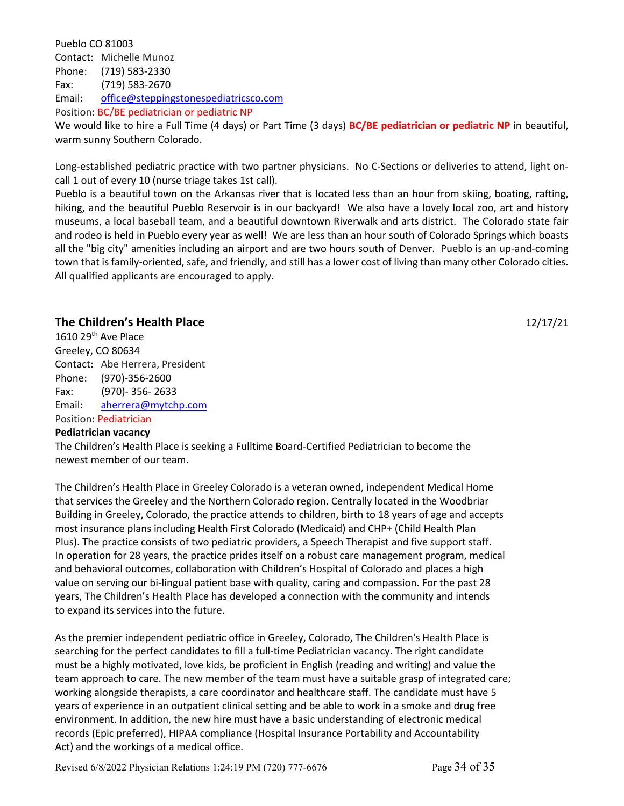Pueblo CO 81003 Contact: Michelle Munoz Phone: (719) 583-2330 Fax: (719) 583-2670 Email: office@steppingstonespediatricsco.com Position**:** BC/BE pediatrician or pediatric NP We would like to hire a Full Time (4 days) or Part Time (3 days) **BC/BE pediatrician or pediatric NP** in beautiful, warm sunny Southern Colorado.

Long-established pediatric practice with two partner physicians. No C-Sections or deliveries to attend, light oncall 1 out of every 10 (nurse triage takes 1st call).

Pueblo is a beautiful town on the Arkansas river that is located less than an hour from skiing, boating, rafting, hiking, and the beautiful Pueblo Reservoir is in our backyard! We also have a lovely local zoo, art and history museums, a local baseball team, and a beautiful downtown Riverwalk and arts district. The Colorado state fair and rodeo is held in Pueblo every year as well! We are less than an hour south of Colorado Springs which boasts all the "big city" amenities including an airport and are two hours south of Denver. Pueblo is an up-and-coming town that is family-oriented, safe, and friendly, and still has a lower cost of living than many other Colorado cities. All qualified applicants are encouraged to apply.

# **The Children's Health Place** 12/17/21

1610 29<sup>th</sup> Ave Place Greeley, CO 80634 Contact: Abe Herrera, President Phone: (970)-356-2600 Fax: (970)- 356- 2633 Email: aherrera@mytchp.com Position**:** Pediatrician

# **Pediatrician vacancy**

The Children's Health Place is seeking a Fulltime Board-Certified Pediatrician to become the newest member of our team.

The Children's Health Place in Greeley Colorado is a veteran owned, independent Medical Home that services the Greeley and the Northern Colorado region. Centrally located in the Woodbriar Building in Greeley, Colorado, the practice attends to children, birth to 18 years of age and accepts most insurance plans including Health First Colorado (Medicaid) and CHP+ (Child Health Plan Plus). The practice consists of two pediatric providers, a Speech Therapist and five support staff. In operation for 28 years, the practice prides itself on a robust care management program, medical and behavioral outcomes, collaboration with Children's Hospital of Colorado and places a high value on serving our bi-lingual patient base with quality, caring and compassion. For the past 28 years, The Children's Health Place has developed a connection with the community and intends to expand its services into the future.

As the premier independent pediatric office in Greeley, Colorado, The Children's Health Place is searching for the perfect candidates to fill a full-time Pediatrician vacancy. The right candidate must be a highly motivated, love kids, be proficient in English (reading and writing) and value the team approach to care. The new member of the team must have a suitable grasp of integrated care; working alongside therapists, a care coordinator and healthcare staff. The candidate must have 5 years of experience in an outpatient clinical setting and be able to work in a smoke and drug free environment. In addition, the new hire must have a basic understanding of electronic medical records (Epic preferred), HIPAA compliance (Hospital Insurance Portability and Accountability Act) and the workings of a medical office.

Revised 6/8/2022 Physician Relations 1:24:19 PM (720) 777-6676 Page 34 of 35